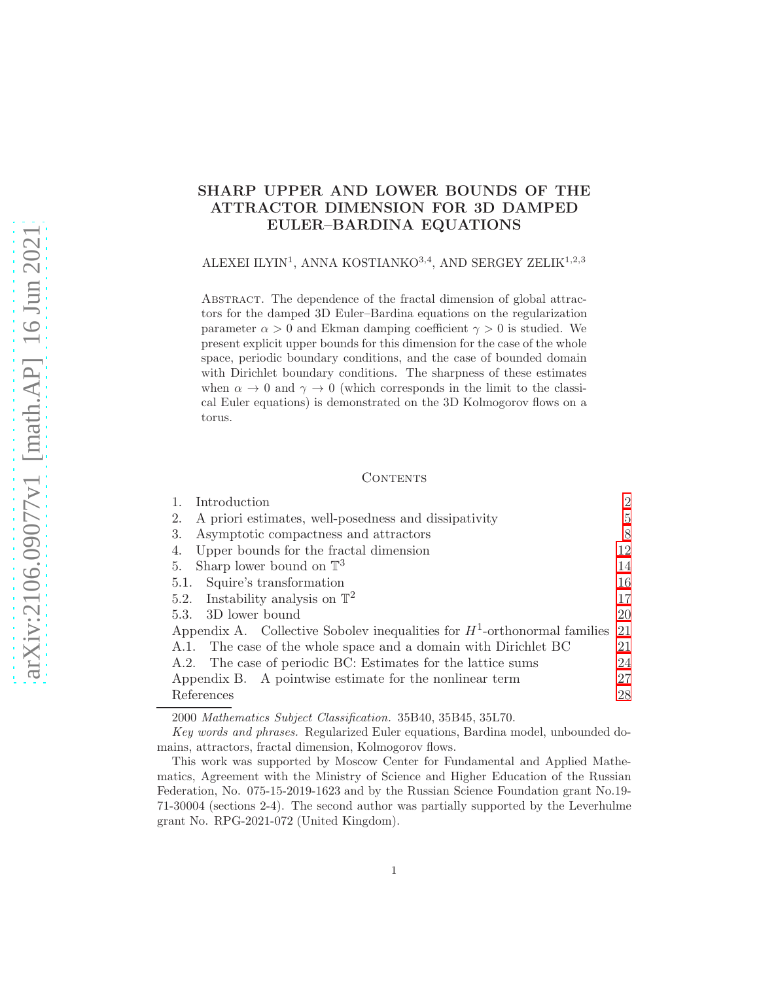# SHARP UPPER AND LOWER BOUNDS OF THE ATTRACTOR DIMENSION FOR 3D DAMPED EULER–BARDINA EQUATIONS

ALEXEI ILYIN<sup>1</sup>, ANNA KOSTIANKO<sup>3,4</sup>, AND SERGEY ZELIK<sup>1,2,3</sup>

ABSTRACT. The dependence of the fractal dimension of global attractors for the damped 3D Euler–Bardina equations on the regularization parameter  $\alpha > 0$  and Ekman damping coefficient  $\gamma > 0$  is studied. We present explicit upper bounds for this dimension for the case of the whole space, periodic boundary conditions, and the case of bounded domain with Dirichlet boundary conditions. The sharpness of these estimates when  $\alpha \to 0$  and  $\gamma \to 0$  (which corresponds in the limit to the classical Euler equations) is demonstrated on the 3D Kolmogorov flows on a torus.

### **CONTENTS**

|    | Introduction                                                                | $\overline{2}$ |
|----|-----------------------------------------------------------------------------|----------------|
| 2. | A priori estimates, well-posedness and dissipativity                        | 5              |
| 3. | Asymptotic compactness and attractors                                       | 8              |
| 4. | Upper bounds for the fractal dimension                                      | 12             |
| 5. | Sharp lower bound on $\mathbb{T}^3$                                         | 14             |
|    | 5.1. Squire's transformation                                                | 16             |
|    | 5.2. Instability analysis on $\mathbb{T}^2$                                 | 17             |
|    | 5.3. 3D lower bound                                                         | <b>20</b>      |
|    | Appendix A. Collective Sobolev inequalities for $H^1$ -orthonormal families | 21             |
|    | A.1. The case of the whole space and a domain with Dirichlet BC             | 21             |
|    | A.2. The case of periodic BC: Estimates for the lattice sums                | 24             |
|    | Appendix B. A pointwise estimate for the nonlinear term                     | 27             |
|    | References                                                                  | 28             |
|    |                                                                             |                |

2000 Mathematics Subject Classification. 35B40, 35B45, 35L70.

Key words and phrases. Regularized Euler equations, Bardina model, unbounded domains, attractors, fractal dimension, Kolmogorov flows.

This work was supported by Moscow Center for Fundamental and Applied Mathematics, Agreement with the Ministry of Science and Higher Education of the Russian Federation, No. 075-15-2019-1623 and by the Russian Science Foundation grant No.19- 71-30004 (sections 2-4). The second author was partially supported by the Leverhulme grant No. RPG-2021-072 (United Kingdom).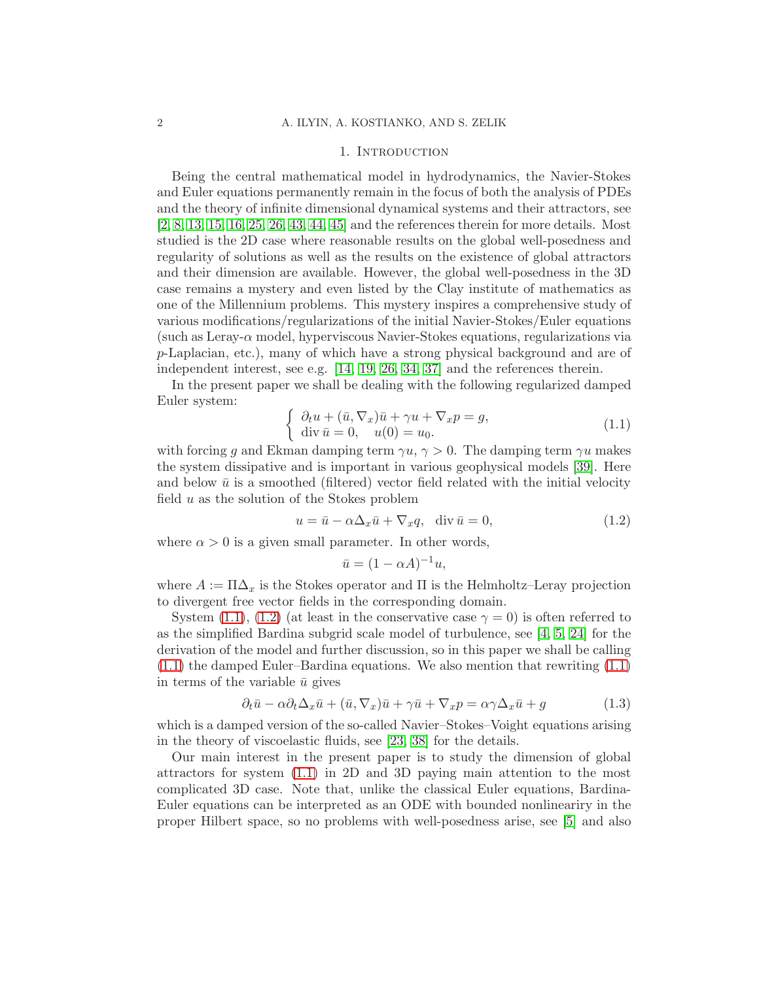### 1. INTRODUCTION

<span id="page-1-0"></span>Being the central mathematical model in hydrodynamics, the Navier-Stokes and Euler equations permanently remain in the focus of both the analysis of PDEs and the theory of infinite dimensional dynamical systems and their attractors, see [\[2,](#page-27-1) [8,](#page-27-2) [13,](#page-28-0) [15,](#page-28-1) [16,](#page-28-2) [25,](#page-28-3) [26,](#page-28-4) [43,](#page-29-0) [44,](#page-29-1) [45\]](#page-29-2) and the references therein for more details. Most studied is the 2D case where reasonable results on the global well-posedness and regularity of solutions as well as the results on the existence of global attractors and their dimension are available. However, the global well-posedness in the 3D case remains a mystery and even listed by the Clay institute of mathematics as one of the Millennium problems. This mystery inspires a comprehensive study of various modifications/regularizations of the initial Navier-Stokes/Euler equations (such as Leray- $\alpha$  model, hyperviscous Navier-Stokes equations, regularizations via p-Laplacian, etc.), many of which have a strong physical background and are of independent interest, see e.g. [\[14,](#page-28-5) [19,](#page-28-6) [26,](#page-28-4) [34,](#page-29-3) [37\]](#page-29-4) and the references therein.

In the present paper we shall be dealing with the following regularized damped Euler system:

<span id="page-1-1"></span>
$$
\begin{cases}\n\partial_t u + (\bar{u}, \nabla_x) \bar{u} + \gamma u + \nabla_x p = g, \\
\text{div } \bar{u} = 0, \quad u(0) = u_0.\n\end{cases}
$$
\n(1.1)

with forcing q and Ekman damping term  $\gamma u$ ,  $\gamma > 0$ . The damping term  $\gamma u$  makes the system dissipative and is important in various geophysical models [\[39\]](#page-29-5). Here and below  $\bar{u}$  is a smoothed (filtered) vector field related with the initial velocity field  $u$  as the solution of the Stokes problem

<span id="page-1-2"></span>
$$
u = \bar{u} - \alpha \Delta_x \bar{u} + \nabla_x q, \quad \text{div } \bar{u} = 0,
$$
\n(1.2)

where  $\alpha > 0$  is a given small parameter. In other words,

$$
\bar{u} = (1 - \alpha A)^{-1} u,
$$

where  $A := \Pi \Delta_x$  is the Stokes operator and  $\Pi$  is the Helmholtz–Leray projection to divergent free vector fields in the corresponding domain.

System [\(1.1\)](#page-1-1), [\(1.2\)](#page-1-2) (at least in the conservative case  $\gamma = 0$ ) is often referred to as the simplified Bardina subgrid scale model of turbulence, see [\[4,](#page-27-3) [5,](#page-27-4) [24\]](#page-28-7) for the derivation of the model and further discussion, so in this paper we shall be calling [\(1.1\)](#page-1-1) the damped Euler–Bardina equations. We also mention that rewriting [\(1.1\)](#page-1-1) in terms of the variable  $\bar{u}$  gives

$$
\partial_t \bar{u} - \alpha \partial_t \Delta_x \bar{u} + (\bar{u}, \nabla_x) \bar{u} + \gamma \bar{u} + \nabla_x p = \alpha \gamma \Delta_x \bar{u} + g \tag{1.3}
$$

which is a damped version of the so-called Navier–Stokes–Voight equations arising in the theory of viscoelastic fluids, see [\[23,](#page-28-8) [38\]](#page-29-6) for the details.

Our main interest in the present paper is to study the dimension of global attractors for system [\(1.1\)](#page-1-1) in 2D and 3D paying main attention to the most complicated 3D case. Note that, unlike the classical Euler equations, Bardina-Euler equations can be interpreted as an ODE with bounded nonlineariry in the proper Hilbert space, so no problems with well-posedness arise, see [\[5\]](#page-27-4) and also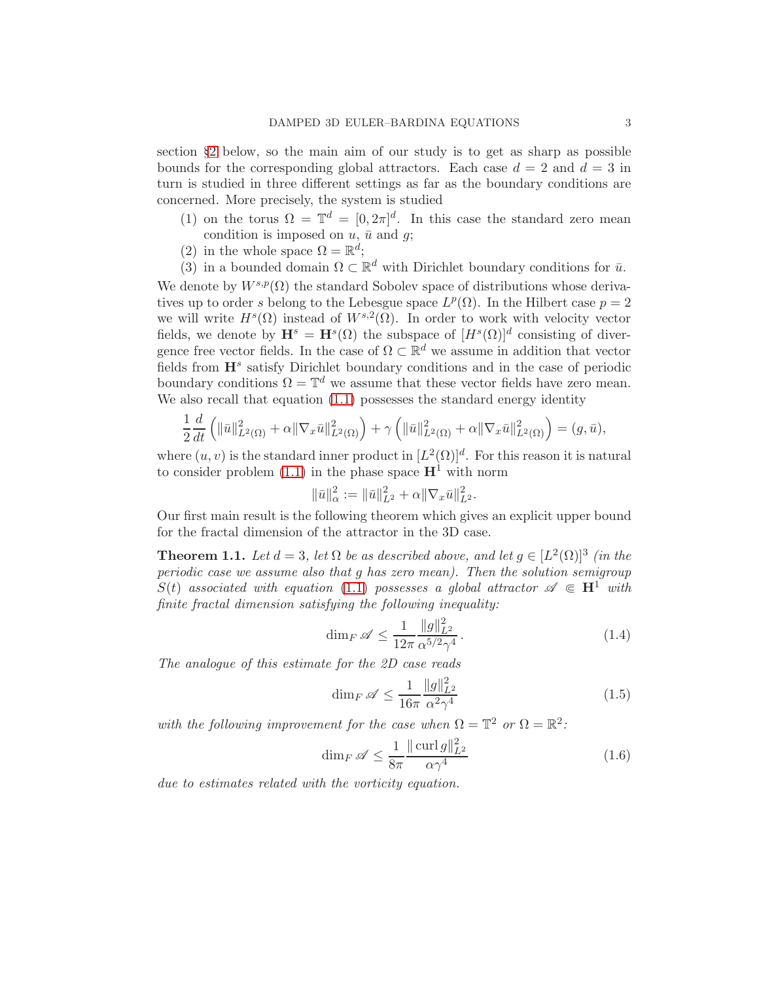section §[2](#page-4-0) below, so the main aim of our study is to get as sharp as possible bounds for the corresponding global attractors. Each case  $d = 2$  and  $d = 3$  in turn is studied in three different settings as far as the boundary conditions are concerned. More precisely, the system is studied

- (1) on the torus  $\Omega = \mathbb{T}^d = [0, 2\pi]^d$ . In this case the standard zero mean condition is imposed on  $u$ ,  $\bar{u}$  and  $g$ ;
- (2) in the whole space  $\Omega = \mathbb{R}^d$ ;
- (3) in a bounded domain  $\Omega \subset \mathbb{R}^d$  with Dirichlet boundary conditions for  $\bar{u}$ .

We denote by  $W^{s,p}(\Omega)$  the standard Sobolev space of distributions whose derivatives up to order s belong to the Lebesgue space  $L^p(\Omega)$ . In the Hilbert case  $p=2$ we will write  $H^s(\Omega)$  instead of  $W^{s,2}(\Omega)$ . In order to work with velocity vector fields, we denote by  $\mathbf{H}^s = \mathbf{H}^s(\Omega)$  the subspace of  $[H^s(\Omega)]^d$  consisting of divergence free vector fields. In the case of  $\Omega \subset \mathbb{R}^d$  we assume in addition that vector fields from  $\mathbf{H}^s$  satisfy Dirichlet boundary conditions and in the case of periodic boundary conditions  $\Omega = \mathbb{T}^d$  we assume that these vector fields have zero mean. We also recall that equation  $(1.1)$  possesses the standard energy identity

$$
\frac{1}{2}\frac{d}{dt}\left(\|\bar{u}\|_{L^{2}(\Omega)}^{2}+\alpha\|\nabla_{x}\bar{u}\|_{L^{2}(\Omega)}^{2}\right)+\gamma\left(\|\bar{u}\|_{L^{2}(\Omega)}^{2}+\alpha\|\nabla_{x}\bar{u}\|_{L^{2}(\Omega)}^{2}\right)=(g,\bar{u}),
$$

where  $(u, v)$  is the standard inner product in  $[L^2(\Omega)]^d$ . For this reason it is natural to consider problem  $(1.1)$  in the phase space  $\mathbf{H}^1$  with norm

$$
\|\bar{u}\|_{\alpha}^2 := \|\bar{u}\|_{L^2}^2 + \alpha \|\nabla_x \bar{u}\|_{L^2}^2.
$$

Our first main result is the following theorem which gives an explicit upper bound for the fractal dimension of the attractor in the 3D case.

**Theorem 1.1.** Let  $d = 3$ , let  $\Omega$  be as described above, and let  $g \in [L^2(\Omega)]^3$  (in the periodic case we assume also that g has zero mean). Then the solution semigroup  $S(t)$  associated with equation [\(1.1\)](#page-1-1) possesses a global attractor  $\mathscr{A} \in \mathbb{H}^1$  with finite fractal dimension satisfying the following inequality:

<span id="page-2-0"></span>
$$
\dim_F \mathscr{A} \le \frac{1}{12\pi} \frac{\|g\|_{L^2}^2}{\alpha^{5/2}\gamma^4} \,. \tag{1.4}
$$

The analogue of this estimate for the 2D case reads

<span id="page-2-1"></span>
$$
\dim_F \mathscr{A} \le \frac{1}{16\pi} \frac{\|g\|_{L^2}^2}{\alpha^2 \gamma^4} \tag{1.5}
$$

with the following improvement for the case when  $\Omega = \mathbb{T}^2$  or  $\Omega = \mathbb{R}^2$ :

<span id="page-2-2"></span>
$$
\dim_F \mathscr{A} \le \frac{1}{8\pi} \frac{\|\operatorname{curl} g\|_{L^2}^2}{\alpha \gamma^4} \tag{1.6}
$$

due to estimates related with the vorticity equation.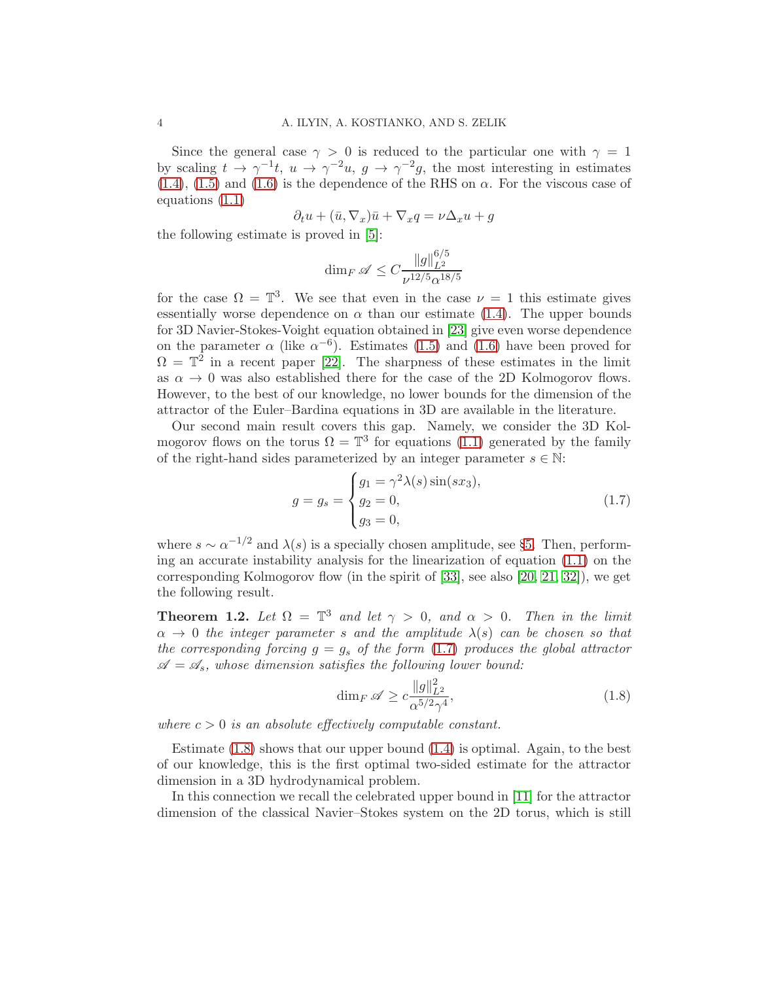Since the general case  $\gamma > 0$  is reduced to the particular one with  $\gamma = 1$ by scaling  $t \to \gamma^{-1}t$ ,  $u \to \gamma^{-2}u$ ,  $g \to \gamma^{-2}g$ , the most interesting in estimates [\(1.4\)](#page-2-0), [\(1.5\)](#page-2-1) and [\(1.6\)](#page-2-2) is the dependence of the RHS on  $\alpha$ . For the viscous case of equations [\(1.1\)](#page-1-1)

$$
\partial_t u + (\bar{u}, \nabla_x) \bar{u} + \nabla_x q = \nu \Delta_x u + g
$$

the following estimate is proved in [\[5\]](#page-27-4):

$$
\dim_F\mathscr{A}\leq C\frac{\|g\|_{L^2}^{6/5}}{\nu^{12/5}\alpha^{18/5}}
$$

for the case  $\Omega = \mathbb{T}^3$ . We see that even in the case  $\nu = 1$  this estimate gives essentially worse dependence on  $\alpha$  than our estimate [\(1.4\)](#page-2-0). The upper bounds for 3D Navier-Stokes-Voight equation obtained in [\[23\]](#page-28-8) give even worse dependence on the parameter  $\alpha$  (like  $\alpha^{-6}$ ). Estimates [\(1.5\)](#page-2-1) and [\(1.6\)](#page-2-2) have been proved for  $\Omega = \mathbb{T}^2$  in a recent paper [\[22\]](#page-28-9). The sharpness of these estimates in the limit as  $\alpha \to 0$  was also established there for the case of the 2D Kolmogorov flows. However, to the best of our knowledge, no lower bounds for the dimension of the attractor of the Euler–Bardina equations in 3D are available in the literature.

Our second main result covers this gap. Namely, we consider the 3D Kolmogorov flows on the torus  $\Omega = \mathbb{T}^3$  for equations [\(1.1\)](#page-1-1) generated by the family of the right-hand sides parameterized by an integer parameter  $s \in \mathbb{N}$ :

<span id="page-3-0"></span>
$$
g = g_s = \begin{cases} g_1 = \gamma^2 \lambda(s) \sin(sx_3), \\ g_2 = 0, \\ g_3 = 0, \end{cases}
$$
 (1.7)

where  $s \sim \alpha^{-1/2}$  and  $\lambda(s)$  is a specially chosen amplitude, see §[5.](#page-13-0) Then, performing an accurate instability analysis for the linearization of equation [\(1.1\)](#page-1-1) on the corresponding Kolmogorov flow (in the spirit of [\[33\]](#page-29-7), see also [\[20,](#page-28-10) [21,](#page-28-11) [32\]](#page-29-8)), we get the following result.

**Theorem 1.2.** Let  $\Omega = \mathbb{T}^3$  and let  $\gamma > 0$ , and  $\alpha > 0$ . Then in the limit  $\alpha \rightarrow 0$  the integer parameter s and the amplitude  $\lambda(s)$  can be chosen so that the corresponding forcing  $g = g_s$  of the form [\(1.7\)](#page-3-0) produces the global attractor  $\mathscr{A} = \mathscr{A}_s$ , whose dimension satisfies the following lower bound:

<span id="page-3-1"></span>
$$
\dim_F \mathscr{A} \ge c \frac{\|g\|_{L^2}^2}{\alpha^{5/2} \gamma^4},\tag{1.8}
$$

where  $c > 0$  is an absolute effectively computable constant.

Estimate  $(1.8)$  shows that our upper bound  $(1.4)$  is optimal. Again, to the best of our knowledge, this is the first optimal two-sided estimate for the attractor dimension in a 3D hydrodynamical problem.

In this connection we recall the celebrated upper bound in [\[11\]](#page-27-5) for the attractor dimension of the classical Navier–Stokes system on the 2D torus, which is still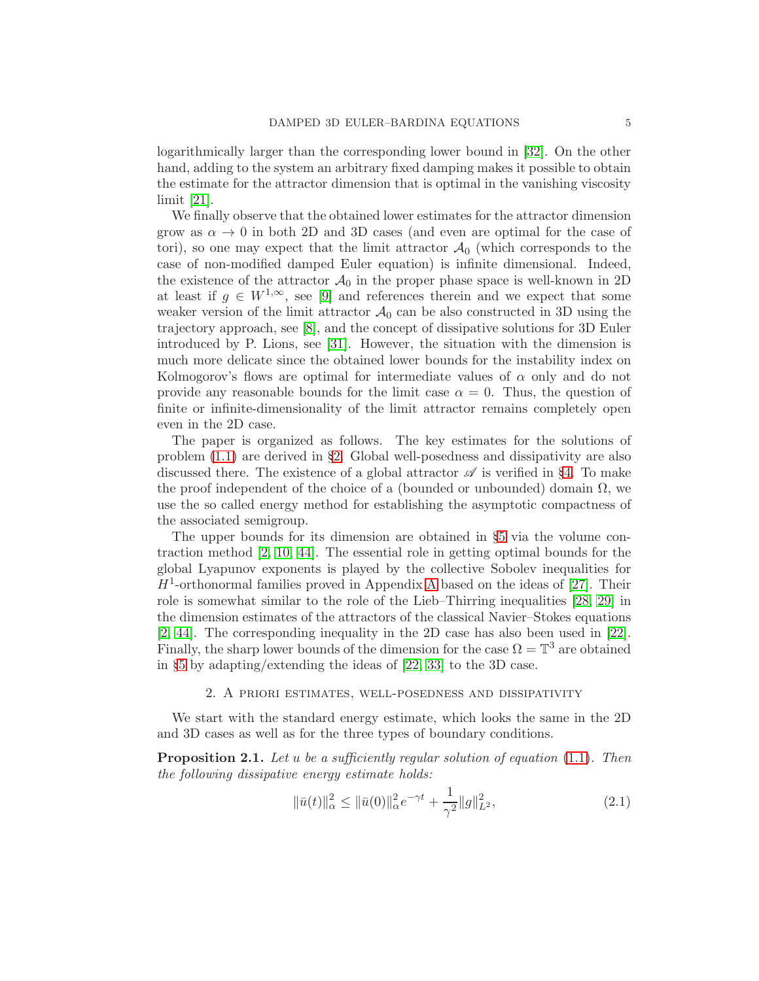logarithmically larger than the corresponding lower bound in [\[32\]](#page-29-8). On the other hand, adding to the system an arbitrary fixed damping makes it possible to obtain the estimate for the attractor dimension that is optimal in the vanishing viscosity limit [\[21\]](#page-28-11).

We finally observe that the obtained lower estimates for the attractor dimension grow as  $\alpha \to 0$  in both 2D and 3D cases (and even are optimal for the case of tori), so one may expect that the limit attractor  $\mathcal{A}_0$  (which corresponds to the case of non-modified damped Euler equation) is infinite dimensional. Indeed, the existence of the attractor  $\mathcal{A}_0$  in the proper phase space is well-known in 2D at least if  $g \in W^{1,\infty}$ , see [\[9\]](#page-27-6) and references therein and we expect that some weaker version of the limit attractor  $\mathcal{A}_0$  can be also constructed in 3D using the trajectory approach, see [\[8\]](#page-27-2), and the concept of dissipative solutions for 3D Euler introduced by P. Lions, see [\[31\]](#page-28-12). However, the situation with the dimension is much more delicate since the obtained lower bounds for the instability index on Kolmogorov's flows are optimal for intermediate values of  $\alpha$  only and do not provide any reasonable bounds for the limit case  $\alpha = 0$ . Thus, the question of finite or infinite-dimensionality of the limit attractor remains completely open even in the 2D case.

The paper is organized as follows. The key estimates for the solutions of problem [\(1.1\)](#page-1-1) are derived in §[2.](#page-4-0) Global well-posedness and dissipativity are also discussed there. The existence of a global attractor  $\mathscr A$  is verified in §[4.](#page-11-0) To make the proof independent of the choice of a (bounded or unbounded) domain  $\Omega$ , we use the so called energy method for establishing the asymptotic compactness of the associated semigroup.

The upper bounds for its dimension are obtained in §[5](#page-13-0) via the volume contraction method [\[2,](#page-27-1) [10,](#page-27-7) [44\]](#page-29-1). The essential role in getting optimal bounds for the global Lyapunov exponents is played by the collective Sobolev inequalities for  $H<sup>1</sup>$ -orthonormal families proved in [A](#page-20-0)ppendix A based on the ideas of [\[27\]](#page-28-13). Their role is somewhat similar to the role of the Lieb–Thirring inequalities [\[28,](#page-28-14) [29\]](#page-28-15) in the dimension estimates of the attractors of the classical Navier–Stokes equations [\[2,](#page-27-1) [44\]](#page-29-1). The corresponding inequality in the 2D case has also been used in [\[22\]](#page-28-9). Finally, the sharp lower bounds of the dimension for the case  $\Omega = \mathbb{T}^3$  are obtained in §[5](#page-13-0) by adapting/extending the ideas of [\[22,](#page-28-9) [33\]](#page-29-7) to the 3D case.

### 2. A priori estimates, well-posedness and dissipativity

<span id="page-4-0"></span>We start with the standard energy estimate, which looks the same in the 2D and 3D cases as well as for the three types of boundary conditions.

<span id="page-4-2"></span>**Proposition 2.1.** Let u be a sufficiently regular solution of equation  $(1.1)$ . Then the following dissipative energy estimate holds:

<span id="page-4-1"></span>
$$
\|\bar{u}(t)\|_{\alpha}^{2} \le \|\bar{u}(0)\|_{\alpha}^{2}e^{-\gamma t} + \frac{1}{\gamma^{2}}\|g\|_{L^{2}}^{2},\tag{2.1}
$$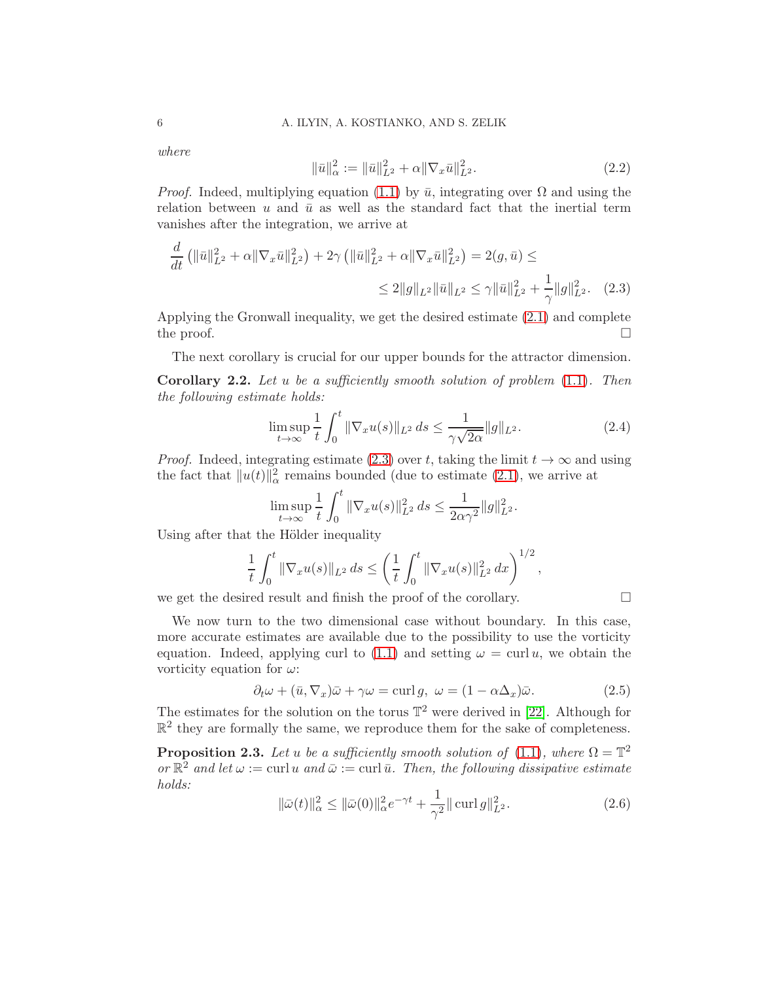where

<span id="page-5-4"></span><span id="page-5-0"></span>
$$
\|\bar{u}\|_{\alpha}^{2} := \|\bar{u}\|_{L^{2}}^{2} + \alpha \|\nabla_{x}\bar{u}\|_{L^{2}}^{2}.
$$
\n(2.2)

*Proof.* Indeed, multiplying equation [\(1.1\)](#page-1-1) by  $\bar{u}$ , integrating over  $\Omega$  and using the relation between u and  $\bar{u}$  as well as the standard fact that the inertial term vanishes after the integration, we arrive at

$$
\frac{d}{dt} \left( \|\bar{u}\|_{L^2}^2 + \alpha \|\nabla_x \bar{u}\|_{L^2}^2 \right) + 2\gamma \left( \|\bar{u}\|_{L^2}^2 + \alpha \|\nabla_x \bar{u}\|_{L^2}^2 \right) = 2(g, \bar{u}) \le
$$
\n
$$
\leq 2\|g\|_{L^2} \|\bar{u}\|_{L^2} \leq \gamma \|\bar{u}\|_{L^2}^2 + \frac{1}{\gamma} \|g\|_{L^2}^2. \tag{2.3}
$$

Applying the Gronwall inequality, we get the desired estimate [\(2.1\)](#page-4-1) and complete the proof.  $\Box$ 

The next corollary is crucial for our upper bounds for the attractor dimension.

<span id="page-5-3"></span>**Corollary 2.2.** Let u be a sufficiently smooth solution of problem  $(1.1)$ . Then the following estimate holds:

<span id="page-5-5"></span>
$$
\limsup_{t \to \infty} \frac{1}{t} \int_0^t \|\nabla_x u(s)\|_{L^2} ds \le \frac{1}{\gamma \sqrt{2\alpha}} \|g\|_{L^2}.
$$
 (2.4)

*Proof.* Indeed, integrating estimate [\(2.3\)](#page-5-0) over t, taking the limit  $t \to \infty$  and using the fact that  $||u(t)||_{\alpha}^2$  remains bounded (due to estimate [\(2.1\)](#page-4-1), we arrive at

$$
\limsup_{t \to \infty} \frac{1}{t} \int_0^t \|\nabla_x u(s)\|_{L^2}^2 ds \le \frac{1}{2\alpha \gamma^2} \|g\|_{L^2}^2.
$$

Using after that the Hölder inequality

$$
\frac{1}{t} \int_0^t \|\nabla_x u(s)\|_{L^2} ds \le \left(\frac{1}{t} \int_0^t \|\nabla_x u(s)\|_{L^2}^2 dx\right)^{1/2},
$$

we get the desired result and finish the proof of the corollary.  $\Box$ 

We now turn to the two dimensional case without boundary. In this case, more accurate estimates are available due to the possibility to use the vorticity equation. Indeed, applying curl to [\(1.1\)](#page-1-1) and setting  $\omega = \text{curl } u$ , we obtain the vorticity equation for  $\omega$ :

<span id="page-5-1"></span>
$$
\partial_t \omega + (\bar{u}, \nabla_x) \bar{\omega} + \gamma \omega = \text{curl } g, \ \omega = (1 - \alpha \Delta_x) \bar{\omega}.
$$
 (2.5)

The estimates for the solution on the torus  $\mathbb{T}^2$  were derived in [\[22\]](#page-28-9). Although for  $\mathbb{R}^2$  they are formally the same, we reproduce them for the sake of completeness.

**Proposition 2.3.** Let u be a sufficiently smooth solution of [\(1.1\)](#page-1-1), where  $\Omega = \mathbb{T}^2$ or  $\mathbb{R}^2$  and let  $\omega := \text{curl } u$  and  $\bar{\omega} := \text{curl } \bar{u}$ . Then, the following dissipative estimate holds:

<span id="page-5-2"></span>
$$
\|\bar{\omega}(t)\|_{\alpha}^{2} \le \|\bar{\omega}(0)\|_{\alpha}^{2} e^{-\gamma t} + \frac{1}{\gamma^{2}} \|\operatorname{curl} g\|_{L^{2}}^{2}.
$$
\n(2.6)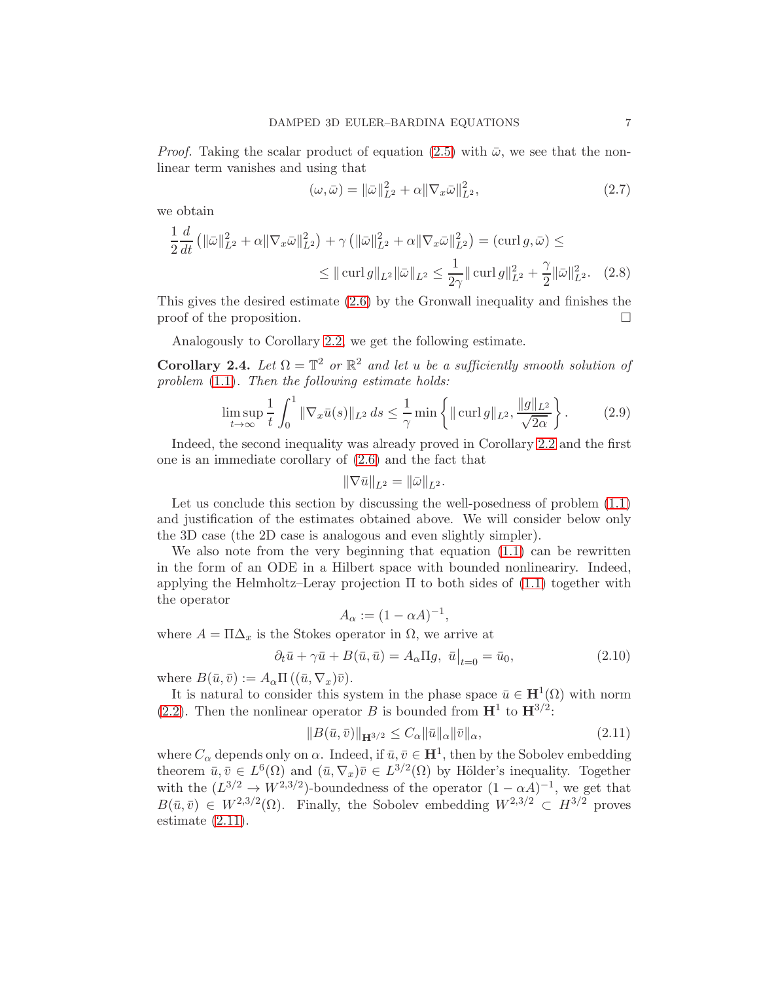*Proof.* Taking the scalar product of equation [\(2.5\)](#page-5-1) with  $\bar{\omega}$ , we see that the nonlinear term vanishes and using that

$$
(\omega, \bar{\omega}) = \|\bar{\omega}\|_{L^2}^2 + \alpha \|\nabla_x \bar{\omega}\|_{L^2}^2,
$$
\n(2.7)

we obtain

$$
\frac{1}{2}\frac{d}{dt}\left(\|\bar{\omega}\|_{L^2}^2 + \alpha \|\nabla_x \bar{\omega}\|_{L^2}^2\right) + \gamma \left(\|\bar{\omega}\|_{L^2}^2 + \alpha \|\nabla_x \bar{\omega}\|_{L^2}^2\right) = (\text{curl } g, \bar{\omega}) \le
$$
  

$$
\leq \|\text{curl } g\|_{L^2} \|\bar{\omega}\|_{L^2} \leq \frac{1}{2\gamma} \|\text{curl } g\|_{L^2}^2 + \frac{\gamma}{2} \|\bar{\omega}\|_{L^2}^2. \tag{2.8}
$$

This gives the desired estimate [\(2.6\)](#page-5-2) by the Gronwall inequality and finishes the  $\Box$  proof of the proposition.

Analogously to Corollary [2.2,](#page-5-3) we get the following estimate.

Corollary 2.4. Let  $\Omega = \mathbb{T}^2$  or  $\mathbb{R}^2$  and let u be a sufficiently smooth solution of problem  $(1.1)$ . Then the following estimate holds:

$$
\limsup_{t \to \infty} \frac{1}{t} \int_0^1 \|\nabla_x \bar{u}(s)\|_{L^2} ds \le \frac{1}{\gamma} \min \left\{ \|\operatorname{curl} g\|_{L^2}, \frac{\|g\|_{L^2}}{\sqrt{2\alpha}} \right\}. \tag{2.9}
$$

Indeed, the second inequality was already proved in Corollary [2.2](#page-5-3) and the first one is an immediate corollary of [\(2.6\)](#page-5-2) and the fact that

$$
\|\nabla \bar{u}\|_{L^2} = \|\bar{\omega}\|_{L^2}.
$$

Let us conclude this section by discussing the well-posedness of problem [\(1.1\)](#page-1-1) and justification of the estimates obtained above. We will consider below only the 3D case (the 2D case is analogous and even slightly simpler).

We also note from the very beginning that equation [\(1.1\)](#page-1-1) can be rewritten in the form of an ODE in a Hilbert space with bounded nonlineariry. Indeed, applying the Helmholtz–Leray projection  $\Pi$  to both sides of [\(1.1\)](#page-1-1) together with the operator

$$
A_{\alpha} := (1 - \alpha A)^{-1},
$$

where  $A = \Pi \Delta_x$  is the Stokes operator in  $\Omega$ , we arrive at

<span id="page-6-1"></span>
$$
\partial_t \bar{u} + \gamma \bar{u} + B(\bar{u}, \bar{u}) = A_\alpha \Pi g, \left. \bar{u} \right|_{t=0} = \bar{u}_0,\tag{2.10}
$$

where  $B(\bar{u}, \bar{v}) := A_{\alpha} \Pi ((\bar{u}, \nabla_x) \bar{v}).$ 

It is natural to consider this system in the phase space  $\bar{u} \in \mathbf{H}^1(\Omega)$  with norm [\(2.2\)](#page-5-4). Then the nonlinear operator B is bounded from  $\mathbf{H}^1$  to  $\mathbf{H}^{3/2}$ :

<span id="page-6-0"></span>
$$
||B(\bar{u}, \bar{v})||_{\mathbf{H}^{3/2}} \le C_{\alpha} ||\bar{u}||_{\alpha} ||\bar{v}||_{\alpha}, \tag{2.11}
$$

where  $C_{\alpha}$  depends only on  $\alpha$ . Indeed, if  $\bar{u}, \bar{v} \in \mathbf{H}^{1}$ , then by the Sobolev embedding theorem  $\bar{u}, \bar{v} \in L^6(\Omega)$  and  $(\bar{u}, \nabla_x)\bar{v} \in L^{3/2}(\Omega)$  by Hölder's inequality. Together with the  $(L^{3/2} \to W^{2,3/2})$ -boundedness of the operator  $(1 - \alpha A)^{-1}$ , we get that  $B(\bar{u}, \bar{v}) \in W^{2,3/2}(\Omega)$ . Finally, the Sobolev embedding  $W^{2,3/2} \subset H^{3/2}$  proves estimate [\(2.11\)](#page-6-0).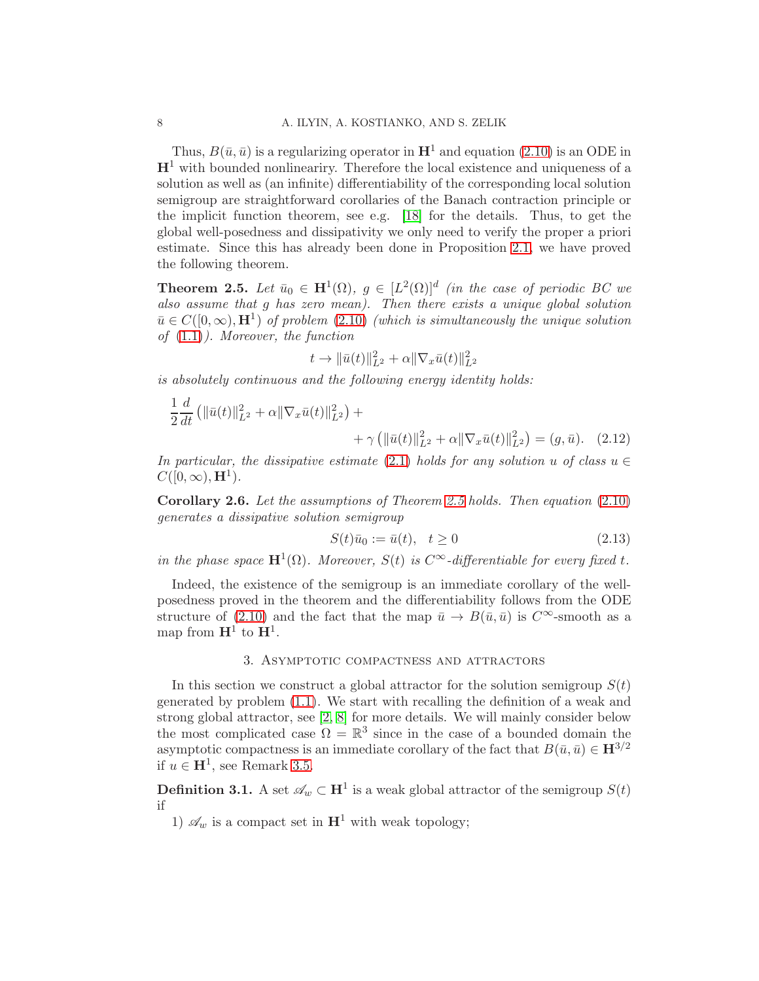Thus,  $B(\bar{u}, \bar{u})$  is a regularizing operator in  $\mathbf{H}^1$  and equation [\(2.10\)](#page-6-1) is an ODE in  $H<sup>1</sup>$  with bounded nonlineariry. Therefore the local existence and uniqueness of a solution as well as (an infinite) differentiability of the corresponding local solution semigroup are straightforward corollaries of the Banach contraction principle or the implicit function theorem, see e.g. [\[18\]](#page-28-16) for the details. Thus, to get the global well-posedness and dissipativity we only need to verify the proper a priori estimate. Since this has already been done in Proposition [2.1,](#page-4-2) we have proved the following theorem.

<span id="page-7-1"></span>**Theorem 2.5.** Let  $\bar{u}_0 \in \mathbf{H}^1(\Omega)$ ,  $g \in [L^2(\Omega)]^d$  (in the case of periodic BC we also assume that g has zero mean). Then there exists a unique global solution  $\bar{u} \in C([0,\infty), \mathbf{H}^1)$  of problem [\(2.10\)](#page-6-1) (which is simultaneously the unique solution of [\(1.1\)](#page-1-1)). Moreover, the function

$$
t \to \|\bar{u}(t)\|_{L^2}^2 + \alpha \|\nabla_x \bar{u}(t)\|_{L^2}^2
$$

is absolutely continuous and the following energy identity holds:

$$
\frac{1}{2}\frac{d}{dt}\left(\|\bar{u}(t)\|_{L^{2}}^{2}+\alpha\|\nabla_{x}\bar{u}(t)\|_{L^{2}}^{2}\right)+\n+ \gamma\left(\|\bar{u}(t)\|_{L^{2}}^{2}+\alpha\|\nabla_{x}\bar{u}(t)\|_{L^{2}}^{2}\right)=(g,\bar{u}).
$$
\n(2.12)

In particular, the dissipative estimate [\(2.1\)](#page-4-1) holds for any solution u of class  $u \in$  $C([0,\infty),\mathbf{H}^1).$ 

<span id="page-7-3"></span>Corollary 2.6. Let the assumptions of Theorem [2.5](#page-7-1) holds. Then equation [\(2.10\)](#page-6-1) generates a dissipative solution semigroup

<span id="page-7-2"></span>
$$
S(t)\bar{u}_0 := \bar{u}(t), \quad t \ge 0
$$
\n(2.13)

in the phase space  $\mathbf{H}^1(\Omega)$ . Moreover,  $S(t)$  is  $C^{\infty}$ -differentiable for every fixed t.

Indeed, the existence of the semigroup is an immediate corollary of the wellposedness proved in the theorem and the differentiability follows from the ODE structure of [\(2.10\)](#page-6-1) and the fact that the map  $\bar{u} \to B(\bar{u}, \bar{u})$  is  $C^{\infty}$ -smooth as a map from  $\mathbf{H}^1$  to  $\mathbf{H}^1$ .

### 3. Asymptotic compactness and attractors

<span id="page-7-0"></span>In this section we construct a global attractor for the solution semigroup  $S(t)$ generated by problem [\(1.1\)](#page-1-1). We start with recalling the definition of a weak and strong global attractor, see [\[2,](#page-27-1) [8\]](#page-27-2) for more details. We will mainly consider below the most complicated case  $\Omega = \mathbb{R}^3$  since in the case of a bounded domain the asymptotic compactness is an immediate corollary of the fact that  $B(\bar{u}, \bar{u}) \in \mathbf{H}^{3/2}$ if  $u \in \mathbf{H}^1$ , see Remark [3.5.](#page-10-0)

**Definition 3.1.** A set  $\mathscr{A}_w \subset \mathbf{H}^1$  is a weak global attractor of the semigroup  $S(t)$ if

1)  $\mathscr{A}_w$  is a compact set in  $\mathbf{H}^1$  with weak topology;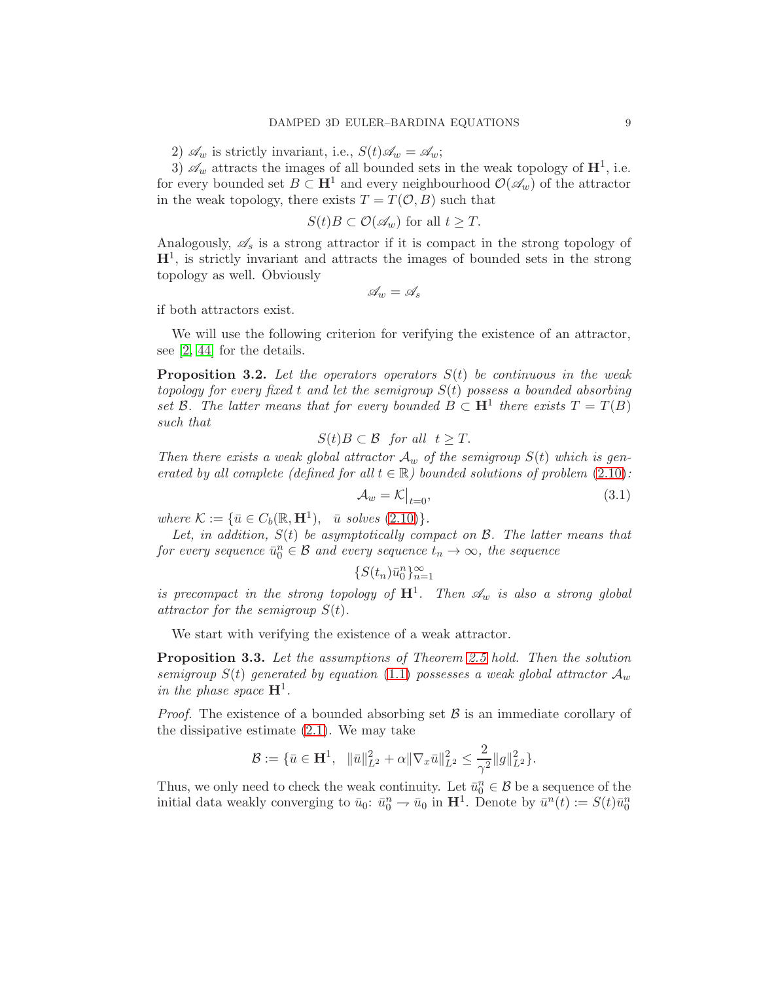2)  $\mathscr{A}_w$  is strictly invariant, i.e.,  $S(t)\mathscr{A}_w = \mathscr{A}_w$ ;

3)  $\mathscr{A}_w$  attracts the images of all bounded sets in the weak topology of  $\mathbf{H}^1$ , i.e. for every bounded set  $B \subset \mathbf{H}^1$  and every neighbourhood  $\mathcal{O}(\mathscr{A}_w)$  of the attractor in the weak topology, there exists  $T = T(\mathcal{O}, B)$  such that

$$
S(t)B\subset \mathcal{O}(\mathscr{A}_w) \text{ for all } t\geq T.
$$

Analogously,  $\mathscr{A}_s$  is a strong attractor if it is compact in the strong topology of  $H<sup>1</sup>$ , is strictly invariant and attracts the images of bounded sets in the strong topology as well. Obviously

$$
\mathscr{A}_w = \mathscr{A}_s
$$

if both attractors exist.

We will use the following criterion for verifying the existence of an attractor, see [\[2,](#page-27-1) [44\]](#page-29-1) for the details.

<span id="page-8-0"></span>**Proposition 3.2.** Let the operators operators  $S(t)$  be continuous in the weak topology for every fixed t and let the semigroup  $S(t)$  possess a bounded absorbing set B. The latter means that for every bounded  $B \subset \mathbf{H}^1$  there exists  $T = T(B)$ such that

$$
S(t)B \subset \mathcal{B} \text{ for all } t \geq T.
$$

Then there exists a weak global attractor  $A_w$  of the semigroup  $S(t)$  which is generated by all complete (defined for all  $t \in \mathbb{R}$ ) bounded solutions of problem [\(2.10\)](#page-6-1):

$$
\mathcal{A}_w = \mathcal{K}\big|_{t=0},\tag{3.1}
$$

where  $\mathcal{K} := \{ \bar{u} \in C_b(\mathbb{R}, \mathbf{H}^1), \bar{u} \text{ solves (2.10)} \}.$  $\mathcal{K} := \{ \bar{u} \in C_b(\mathbb{R}, \mathbf{H}^1), \bar{u} \text{ solves (2.10)} \}.$  $\mathcal{K} := \{ \bar{u} \in C_b(\mathbb{R}, \mathbf{H}^1), \bar{u} \text{ solves (2.10)} \}.$ 

Let, in addition,  $S(t)$  be asymptotically compact on  $\mathcal{B}$ . The latter means that for every sequence  $\bar{u}_0^n \in \mathcal{B}$  and every sequence  $t_n \to \infty$ , the sequence

$$
\{S(t_n)\bar{u}_0^n\}_{n=1}^\infty
$$

is precompact in the strong topology of  $\mathbf{H}^1$ . Then  $\mathscr{A}_w$  is also a strong global attractor for the semigroup  $S(t)$ .

We start with verifying the existence of a weak attractor.

Proposition 3.3. Let the assumptions of Theorem [2.5](#page-7-1) hold. Then the solution semigroup  $S(t)$  generated by equation [\(1.1\)](#page-1-1) possesses a weak global attractor  $\mathcal{A}_w$ in the phase space  $\mathbf{H}^1$ .

*Proof.* The existence of a bounded absorbing set  $\beta$  is an immediate corollary of the dissipative estimate [\(2.1\)](#page-4-1). We may take

$$
\mathcal{B} := \{ \bar{u} \in \mathbf{H}^1, \|\bar{u}\|_{L^2}^2 + \alpha \|\nabla_x \bar{u}\|_{L^2}^2 \le \frac{2}{\gamma^2} \|g\|_{L^2}^2 \}.
$$

Thus, we only need to check the weak continuity. Let  $\bar{u}_0^n \in \mathcal{B}$  be a sequence of the initial data weakly converging to  $\bar{u}_0$ :  $\bar{u}_0^n \to \bar{u}_0$  in  $\mathbf{H}^1$ . Denote by  $\bar{u}^n(t) := S(t)\bar{u}_0^n$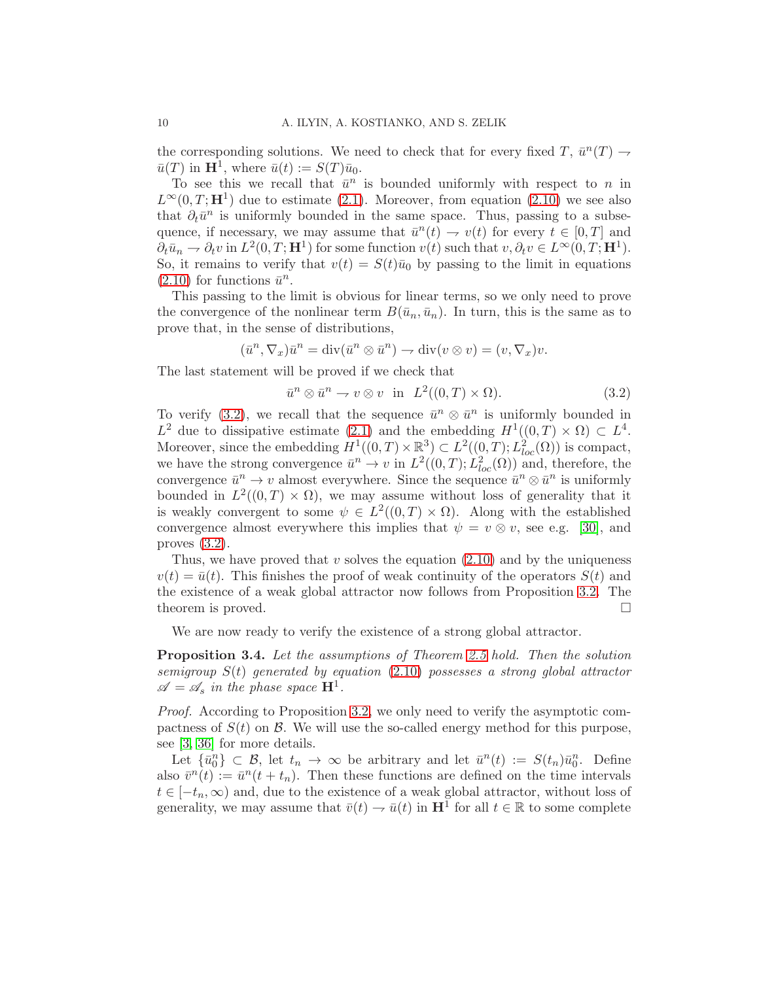the corresponding solutions. We need to check that for every fixed  $T, \bar{u}^n(T) \rightarrow$  $\bar{u}(T)$  in  $\mathbf{H}^1$ , where  $\bar{u}(t) := S(T)\bar{u}_0$ .

To see this we recall that  $\bar{u}^n$  is bounded uniformly with respect to n in  $L^{\infty}(0,T;\mathbf{H}^{1})$  due to estimate [\(2.1\)](#page-4-1). Moreover, from equation [\(2.10\)](#page-6-1) we see also that  $\partial_t \bar{u}^n$  is uniformly bounded in the same space. Thus, passing to a subsequence, if necessary, we may assume that  $\bar{u}^n(t) \to v(t)$  for every  $t \in [0, T]$  and  $\partial_t \bar{u}_n \to \partial_t v$  in  $L^2(0,T; \mathbf{H}^1)$  for some function  $v(t)$  such that  $v, \partial_t v \in L^{\infty}(0,T; \mathbf{H}^1)$ . So, it remains to verify that  $v(t) = S(t)\bar{u}_0$  by passing to the limit in equations  $(2.10)$  for functions  $\bar{u}^n$ .

This passing to the limit is obvious for linear terms, so we only need to prove the convergence of the nonlinear term  $B(\bar{u}_n, \bar{u}_n)$ . In turn, this is the same as to prove that, in the sense of distributions,

$$
(\bar{u}^n, \nabla_x)\bar{u}^n = \text{div}(\bar{u}^n \otimes \bar{u}^n) \to \text{div}(v \otimes v) = (v, \nabla_x)v.
$$

The last statement will be proved if we check that

<span id="page-9-0"></span>
$$
\bar{u}^n \otimes \bar{u}^n \to v \otimes v \quad \text{in} \quad L^2((0,T) \times \Omega). \tag{3.2}
$$

To verify [\(3.2\)](#page-9-0), we recall that the sequence  $\bar{u}^n \otimes \bar{u}^n$  is uniformly bounded in  $L^2$  due to dissipative estimate [\(2.1\)](#page-4-1) and the embedding  $H^1((0,T) \times \Omega) \subset L^4$ . Moreover, since the embedding  $H^1((0,T)\times\mathbb{R}^3) \subset L^2((0,T);L^2_{loc}(\Omega))$  is compact, we have the strong convergence  $\bar{u}^n \to v$  in  $L^2((0,T); L^2_{loc}(\Omega))$  and, therefore, the convergence  $\bar{u}^n \to v$  almost everywhere. Since the sequence  $\bar{u}^n \otimes \bar{u}^n$  is uniformly bounded in  $L^2((0,T) \times \Omega)$ , we may assume without loss of generality that it is weakly convergent to some  $\psi \in L^2((0,T) \times \Omega)$ . Along with the established convergence almost everywhere this implies that  $\psi = v \otimes v$ , see e.g. [\[30\]](#page-28-17), and proves [\(3.2\)](#page-9-0).

Thus, we have proved that v solves the equation  $(2.10)$  and by the uniqueness  $v(t) = \bar{u}(t)$ . This finishes the proof of weak continuity of the operators  $S(t)$  and the existence of a weak global attractor now follows from Proposition [3.2.](#page-8-0) The theorem is proved.

We are now ready to verify the existence of a strong global attractor.

Proposition 3.4. Let the assumptions of Theorem [2.5](#page-7-1) hold. Then the solution semigroup  $S(t)$  generated by equation [\(2.10\)](#page-6-1) possesses a strong global attractor  $\mathscr{A} = \mathscr{A}_s$  in the phase space  $\mathbf{H}^1$ .

Proof. According to Proposition [3.2,](#page-8-0) we only need to verify the asymptotic compactness of  $S(t)$  on  $\beta$ . We will use the so-called energy method for this purpose, see [\[3,](#page-27-8) [36\]](#page-29-9) for more details.

Let  $\{\bar{u}_0^n\} \subset \mathcal{B}$ , let  $t_n \to \infty$  be arbitrary and let  $\bar{u}^n(t) := S(t_n)\bar{u}_0^n$ . Define also  $\bar{v}^n(t) := \bar{u}^n(t + t_n)$ . Then these functions are defined on the time intervals  $t \in [-t_n,\infty)$  and, due to the existence of a weak global attractor, without loss of generality, we may assume that  $\bar{v}(t) \to \bar{u}(t)$  in  $\mathbf{H}^1$  for all  $t \in \mathbb{R}$  to some complete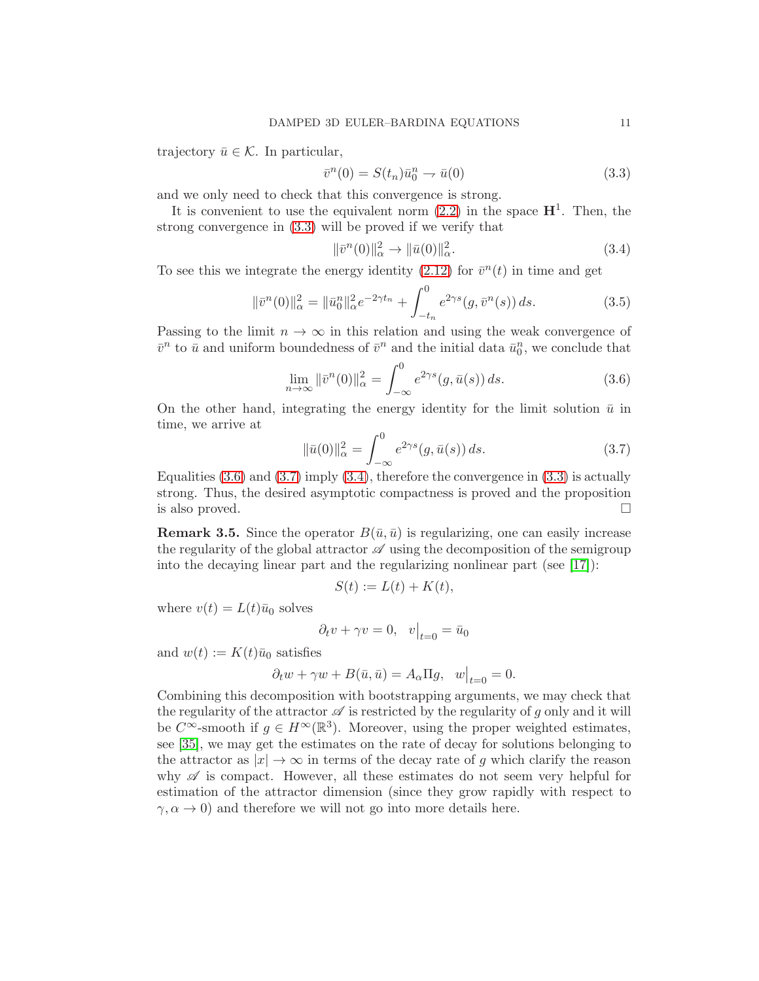trajectory  $\bar{u} \in \mathcal{K}$ . In particular,

<span id="page-10-1"></span>
$$
\bar{v}^n(0) = S(t_n)\bar{u}_0^n \to \bar{u}(0)
$$
\n(3.3)

and we only need to check that this convergence is strong.

It is convenient to use the equivalent norm  $(2.2)$  in the space  $\mathbf{H}^1$ . Then, the strong convergence in [\(3.3\)](#page-10-1) will be proved if we verify that

<span id="page-10-4"></span>
$$
\|\bar{v}^n(0)\|_{\alpha}^2 \to \|\bar{u}(0)\|_{\alpha}^2. \tag{3.4}
$$

To see this we integrate the energy identity [\(2.12\)](#page-7-2) for  $\bar{v}^n(t)$  in time and get

$$
\|\bar{v}^n(0)\|_{\alpha}^2 = \|\bar{u}_0^n\|_{\alpha}^2 e^{-2\gamma t_n} + \int_{-t_n}^0 e^{2\gamma s} (g, \bar{v}^n(s)) ds.
$$
 (3.5)

Passing to the limit  $n \to \infty$  in this relation and using the weak convergence of  $\bar{v}^n$  to  $\bar{u}$  and uniform boundedness of  $\bar{v}^n$  and the initial data  $\bar{u}_0^n$ , we conclude that

<span id="page-10-2"></span>
$$
\lim_{n \to \infty} \left\| \bar{v}^n(0) \right\|_{\alpha}^2 = \int_{-\infty}^0 e^{2\gamma s} (g, \bar{u}(s)) ds. \tag{3.6}
$$

On the other hand, integrating the energy identity for the limit solution  $\bar{u}$  in time, we arrive at

<span id="page-10-3"></span>
$$
\|\bar{u}(0)\|_{\alpha}^{2} = \int_{-\infty}^{0} e^{2\gamma s} (g, \bar{u}(s)) ds.
$$
 (3.7)

Equalities [\(3.6\)](#page-10-2) and [\(3.7\)](#page-10-3) imply [\(3.4\)](#page-10-4), therefore the convergence in [\(3.3\)](#page-10-1) is actually strong. Thus, the desired asymptotic compactness is proved and the proposition is also proved.  $\Box$ 

<span id="page-10-0"></span>**Remark 3.5.** Since the operator  $B(\bar{u}, \bar{u})$  is regularizing, one can easily increase the regularity of the global attractor  $\mathscr A$  using the decomposition of the semigroup into the decaying linear part and the regularizing nonlinear part (see [\[17\]](#page-28-18)):

$$
S(t) := L(t) + K(t),
$$

where  $v(t) = L(t)\bar{u}_0$  solves

$$
\partial_t v + \gamma v = 0, \quad v|_{t=0} = \bar{u}_0
$$

and  $w(t) := K(t)\overline{u}_0$  satisfies

$$
\partial_t w + \gamma w + B(\bar{u}, \bar{u}) = A_\alpha \Pi g, \ \ w\big|_{t=0} = 0.
$$

Combining this decomposition with bootstrapping arguments, we may check that the regularity of the attractor  $\mathscr A$  is restricted by the regularity of q only and it will be C<sup>∞</sup>-smooth if  $g \in H^{\infty}(\mathbb{R}^{3})$ . Moreover, using the proper weighted estimates, see [\[35\]](#page-29-10), we may get the estimates on the rate of decay for solutions belonging to the attractor as  $|x| \to \infty$  in terms of the decay rate of g which clarify the reason why  $\mathscr A$  is compact. However, all these estimates do not seem very helpful for estimation of the attractor dimension (since they grow rapidly with respect to  $\gamma, \alpha \to 0$ ) and therefore we will not go into more details here.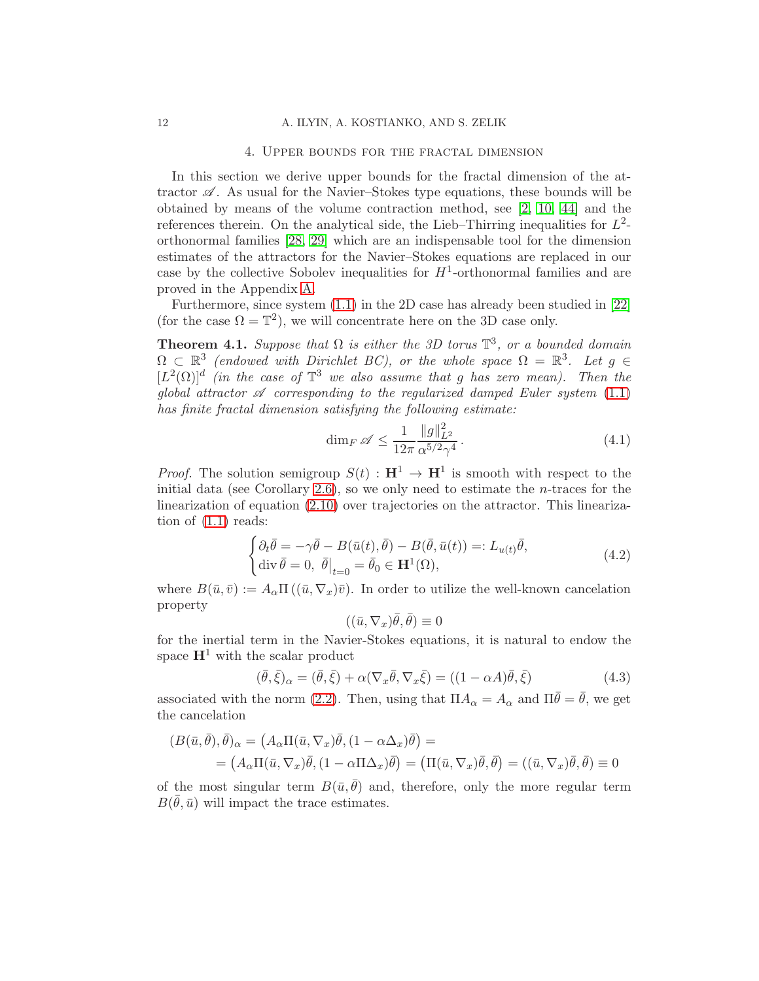### 4. Upper bounds for the fractal dimension

<span id="page-11-0"></span>In this section we derive upper bounds for the fractal dimension of the attractor  $\mathscr A$ . As usual for the Navier–Stokes type equations, these bounds will be obtained by means of the volume contraction method, see [\[2,](#page-27-1) [10,](#page-27-7) [44\]](#page-29-1) and the references therein. On the analytical side, the Lieb–Thirring inequalities for  $L^2$ orthonormal families [\[28,](#page-28-14) [29\]](#page-28-15) which are an indispensable tool for the dimension estimates of the attractors for the Navier–Stokes equations are replaced in our case by the collective Sobolev inequalities for  $H^1$ -orthonormal families and are proved in the Appendix [A.](#page-20-0)

Furthermore, since system [\(1.1\)](#page-1-1) in the 2D case has already been studied in [\[22\]](#page-28-9) (for the case  $\Omega = \mathbb{T}^2$ ), we will concentrate here on the 3D case only.

<span id="page-11-1"></span>**Theorem 4.1.** Suppose that  $\Omega$  is either the 3D torus  $\mathbb{T}^3$ , or a bounded domain  $\Omega \subset \mathbb{R}^3$  (endowed with Dirichlet BC), or the whole space  $\Omega = \mathbb{R}^3$ . Let  $g \in \mathbb{R}^3$  $[L^2(\Omega)]^d$  (in the case of  $\mathbb{T}^3$  we also assume that g has zero mean). Then the global attractor  $\mathscr A$  corresponding to the regularized damped Euler system [\(1.1\)](#page-1-1) has finite fractal dimension satisfying the following estimate:

<span id="page-11-2"></span>
$$
\dim_F \mathscr{A} \le \frac{1}{12\pi} \frac{\|g\|_{L^2}^2}{\alpha^{5/2}\gamma^4} \,. \tag{4.1}
$$

*Proof.* The solution semigroup  $S(t) : \mathbf{H}^1 \to \mathbf{H}^1$  is smooth with respect to the initial data (see Corollary [2.6\)](#page-7-3), so we only need to estimate the n-traces for the linearization of equation [\(2.10\)](#page-6-1) over trajectories on the attractor. This linearization of  $(1.1)$  reads:

$$
\begin{cases} \partial_t \bar{\theta} = -\gamma \bar{\theta} - B(\bar{u}(t), \bar{\theta}) - B(\bar{\theta}, \bar{u}(t)) =: L_{u(t)} \bar{\theta}, \\ \operatorname{div} \bar{\theta} = 0, \ \bar{\theta} \vert_{t=0} = \bar{\theta}_0 \in \mathbf{H}^1(\Omega), \end{cases} \tag{4.2}
$$

where  $B(\bar{u}, \bar{v}) := A_{\alpha} \Pi((\bar{u}, \nabla_x)\bar{v})$ . In order to utilize the well-known cancelation property

$$
((\bar{u},\nabla_x)\bar{\theta},\bar{\theta})\equiv 0
$$

for the inertial term in the Navier-Stokes equations, it is natural to endow the space  $\mathbf{H}^1$  with the scalar product

<span id="page-11-3"></span>
$$
(\bar{\theta}, \bar{\xi})_{\alpha} = (\bar{\theta}, \bar{\xi}) + \alpha (\nabla_x \bar{\theta}, \nabla_x \bar{\xi}) = ((1 - \alpha A)\bar{\theta}, \bar{\xi})
$$
(4.3)

associated with the norm [\(2.2\)](#page-5-4). Then, using that  $\Pi A_{\alpha} = A_{\alpha}$  and  $\Pi \overline{\theta} = \overline{\theta}$ , we get the cancelation

$$
(B(\bar{u}, \bar{\theta}), \bar{\theta})_{\alpha} = (A_{\alpha} \Pi(\bar{u}, \nabla_x) \bar{\theta}, (1 - \alpha \Delta_x) \bar{\theta}) =
$$
  
=  $(A_{\alpha} \Pi(\bar{u}, \nabla_x) \bar{\theta}, (1 - \alpha \Pi \Delta_x) \bar{\theta}) = (\Pi(\bar{u}, \nabla_x) \bar{\theta}, \bar{\theta}) = ((\bar{u}, \nabla_x) \bar{\theta}, \bar{\theta}) \equiv 0$ 

of the most singular term  $B(\bar{u}, \bar{\theta})$  and, therefore, only the more regular term  $B(\bar{\theta}, \bar{u})$  will impact the trace estimates.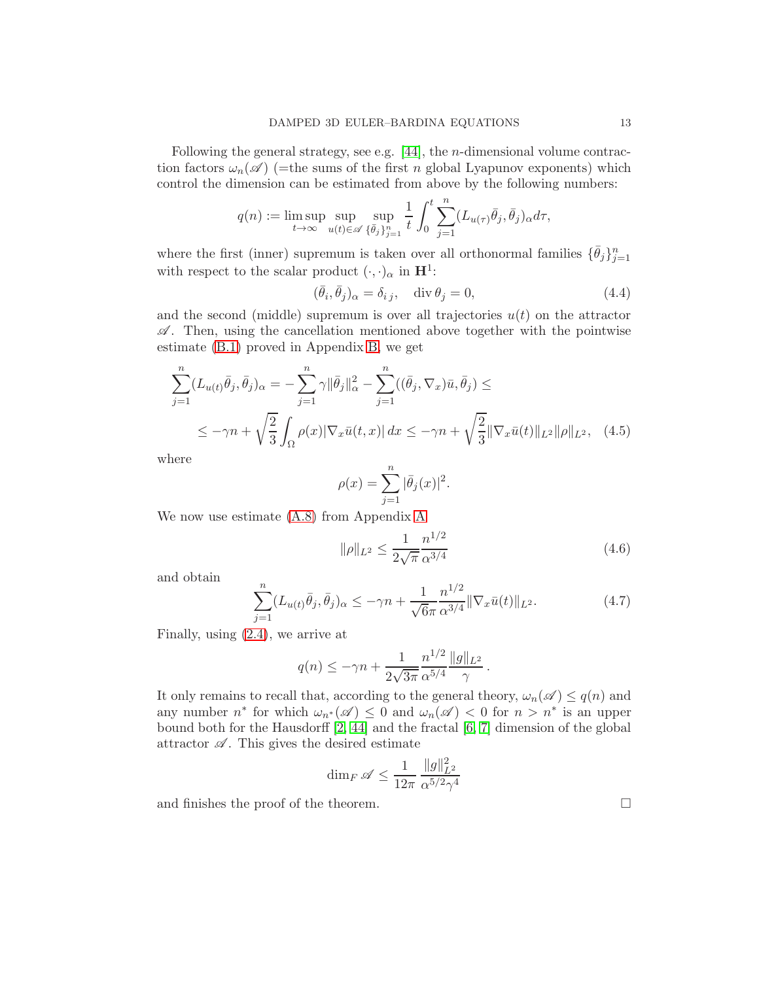Following the general strategy, see e.g.  $[44]$ , the *n*-dimensional volume contraction factors  $\omega_n(\mathscr{A})$  (=the sums of the first n global Lyapunov exponents) which control the dimension can be estimated from above by the following numbers:

$$
q(n) := \limsup_{t \to \infty} \sup_{u(t) \in \mathscr{A}} \sup_{\{\bar{\theta}_j\}_{j=1}^n} \frac{1}{t} \int_0^t \sum_{j=1}^n (L_{u(\tau)} \bar{\theta}_j, \bar{\theta}_j)_{\alpha} d\tau,
$$

where the first (inner) supremum is taken over all orthonormal families  $\{\bar{\theta}_j\}_{j=1}^n$ with respect to the scalar product  $(\cdot, \cdot)_{\alpha}$  in  $\mathbf{H}^{1}$ :

$$
(\bar{\theta}_i, \bar{\theta}_j)_{\alpha} = \delta_{i j}, \quad \text{div } \theta_j = 0,
$$
\n(4.4)

and the second (middle) supremum is over all trajectories  $u(t)$  on the attractor  $\mathscr{A}$ . Then, using the cancellation mentioned above together with the pointwise estimate [\(B.1\)](#page-26-1) proved in Appendix [B,](#page-26-0) we get

$$
\sum_{j=1}^{n} (L_{u(t)}\bar{\theta}_{j}, \bar{\theta}_{j})_{\alpha} = -\sum_{j=1}^{n} \gamma \|\bar{\theta}_{j}\|_{\alpha}^{2} - \sum_{j=1}^{n} ((\bar{\theta}_{j}, \nabla_{x})\bar{u}, \bar{\theta}_{j}) \le
$$
\n
$$
\leq -\gamma n + \sqrt{\frac{2}{3}} \int_{\Omega} \rho(x) |\nabla_{x}\bar{u}(t, x)| dx \leq -\gamma n + \sqrt{\frac{2}{3}} \|\nabla_{x}\bar{u}(t)\|_{L^{2}} \|\rho\|_{L^{2}}, \quad (4.5)
$$

where

$$
\rho(x) = \sum_{j=1}^{n} |\bar{\theta}_j(x)|^2.
$$

We now use estimate [\(A.8\)](#page-23-1) from Appendix [A](#page-20-0)

$$
\|\rho\|_{L^2} \le \frac{1}{2\sqrt{\pi}} \frac{n^{1/2}}{\alpha^{3/4}} \tag{4.6}
$$

and obtain

$$
\sum_{j=1}^{n} (L_{u(t)}\bar{\theta}_j, \bar{\theta}_j)_{\alpha} \le -\gamma n + \frac{1}{\sqrt{6}\pi} \frac{n^{1/2}}{\alpha^{3/4}} \|\nabla_x \bar{u}(t)\|_{L^2}.
$$
 (4.7)

Finally, using [\(2.4\)](#page-5-5), we arrive at

$$
q(n) \le -\gamma n + \frac{1}{2\sqrt{3\pi}} \frac{n^{1/2}}{\alpha^{5/4}} \frac{\|g\|_{L^2}}{\gamma} \,.
$$

It only remains to recall that, according to the general theory,  $\omega_n(\mathscr{A}) \leq q(n)$  and any number  $n^*$  for which  $\omega_{n^*}(\mathscr{A}) \leq 0$  and  $\omega_n(\mathscr{A}) < 0$  for  $n > n^*$  is an upper bound both for the Hausdorff [\[2,](#page-27-1) [44\]](#page-29-1) and the fractal [\[6,](#page-27-9) [7\]](#page-27-10) dimension of the global attractor  $\mathscr A$ . This gives the desired estimate

$$
\dim_F\mathscr{A}\leq \frac{1}{12\pi}\,\frac{\|g\|_{L^2}^2}{\alpha^{5/2}\gamma^4}
$$

and finishes the proof of the theorem.  $\Box$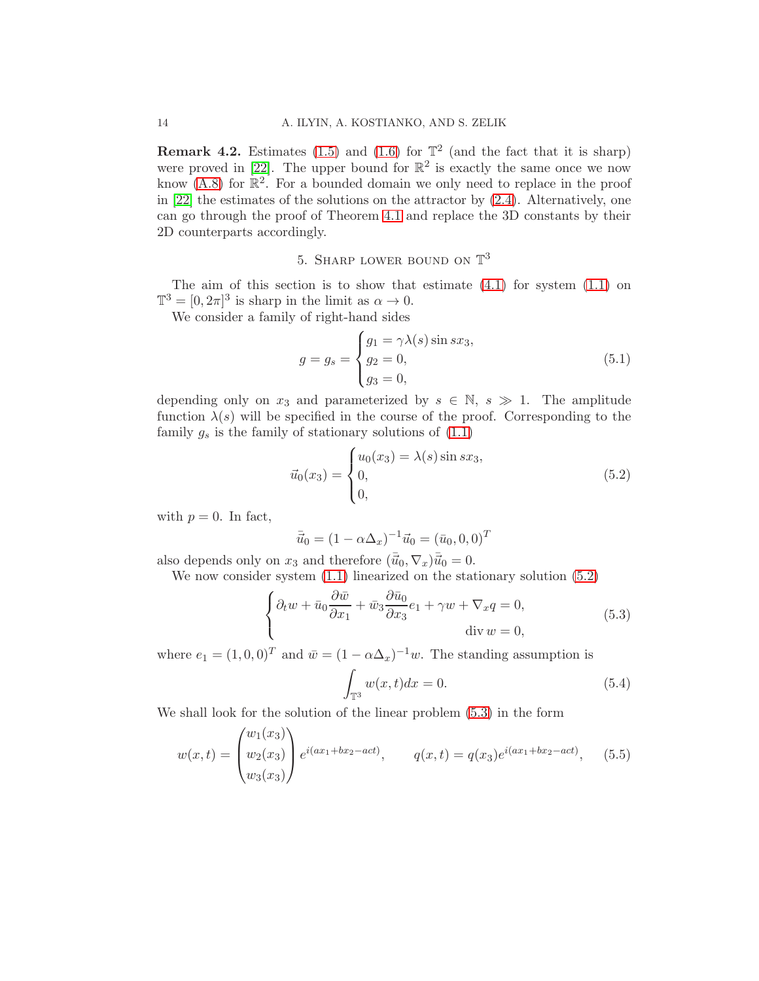**Remark 4.2.** Estimates [\(1.5\)](#page-2-1) and [\(1.6\)](#page-2-2) for  $\mathbb{T}^2$  (and the fact that it is sharp) were proved in [\[22\]](#page-28-9). The upper bound for  $\mathbb{R}^2$  is exactly the same once we now know  $(A.8)$  for  $\mathbb{R}^2$ . For a bounded domain we only need to replace in the proof in [\[22\]](#page-28-9) the estimates of the solutions on the attractor by [\(2.4\)](#page-5-5). Alternatively, one can go through the proof of Theorem [4.1](#page-11-1) and replace the 3D constants by their 2D counterparts accordingly.

## 5. SHARP LOWER BOUND ON  $\mathbb{T}^3$

<span id="page-13-0"></span>The aim of this section is to show that estimate  $(4.1)$  for system  $(1.1)$  on  $\mathbb{T}^3 = [0, 2\pi]^3$  is sharp in the limit as  $\alpha \to 0$ .

We consider a family of right-hand sides

<span id="page-13-4"></span>
$$
g = g_s = \begin{cases} g_1 = \gamma \lambda(s) \sin sx_3, \\ g_2 = 0, \\ g_3 = 0, \end{cases}
$$
 (5.1)

depending only on  $x_3$  and parameterized by  $s \in \mathbb{N}, s \gg 1$ . The amplitude function  $\lambda(s)$  will be specified in the course of the proof. Corresponding to the family  $g_s$  is the family of stationary solutions of  $(1.1)$ 

<span id="page-13-1"></span>
$$
\vec{u}_0(x_3) = \begin{cases} u_0(x_3) = \lambda(s) \sin sx_3, \\ 0, \\ 0, \end{cases}
$$
 (5.2)

with  $p = 0$ . In fact,

$$
\bar{\vec{u}}_0 = (1 - \alpha \Delta_x)^{-1} \vec{u}_0 = (\bar{u}_0, 0, 0)^T
$$

also depends only on  $x_3$  and therefore  $(\overline{\vec{u}}_0, \nabla_x) \overline{\vec{u}}_0 = 0.$ 

We now consider system [\(1.1\)](#page-1-1) linearized on the stationary solution [\(5.2\)](#page-13-1)

<span id="page-13-2"></span>
$$
\begin{cases} \partial_t w + \bar{u}_0 \frac{\partial \bar{w}}{\partial x_1} + \bar{w}_3 \frac{\partial \bar{u}_0}{\partial x_3} e_1 + \gamma w + \nabla_x q = 0, \\ \text{div } w = 0, \end{cases}
$$
 (5.3)

where  $e_1 = (1, 0, 0)^T$  and  $\bar{w} = (1 - \alpha \Delta_x)^{-1} w$ . The standing assumption is Z

$$
\int_{\mathbb{T}^3} w(x,t)dx = 0.
$$
\n(5.4)

We shall look for the solution of the linear problem [\(5.3\)](#page-13-2) in the form

<span id="page-13-3"></span>
$$
w(x,t) = \begin{pmatrix} w_1(x_3) \\ w_2(x_3) \\ w_3(x_3) \end{pmatrix} e^{i(ax_1+bx_2-act)}, \qquad q(x,t) = q(x_3)e^{i(ax_1+bx_2-act)}, \qquad (5.5)
$$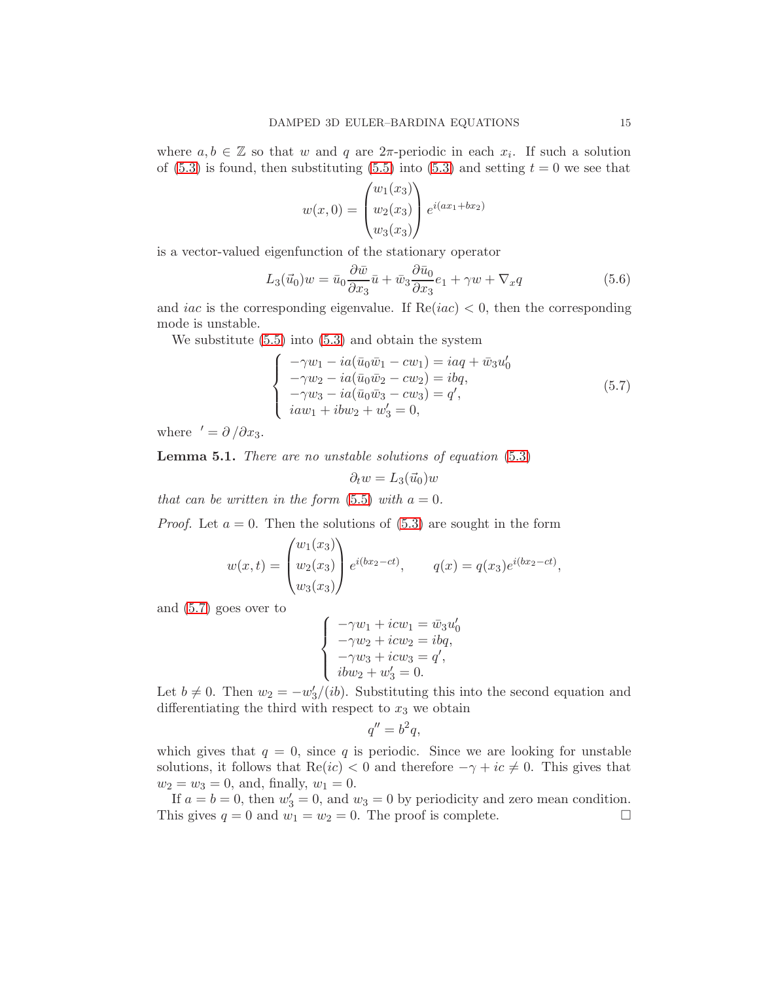where  $a, b \in \mathbb{Z}$  so that w and q are  $2\pi$ -periodic in each  $x_i$ . If such a solution of [\(5.3\)](#page-13-2) is found, then substituting [\(5.5\)](#page-13-3) into (5.3) and setting  $t = 0$  we see that

$$
w(x, 0) = \begin{pmatrix} w_1(x_3) \\ w_2(x_3) \\ w_3(x_3) \end{pmatrix} e^{i(ax_1 + bx_2)}
$$

is a vector-valued eigenfunction of the stationary operator

<span id="page-14-2"></span>
$$
L_3(\vec{u}_0)w = \bar{u}_0 \frac{\partial \bar{w}}{\partial x_3} \bar{u} + \bar{w}_3 \frac{\partial \bar{u}_0}{\partial x_3} e_1 + \gamma w + \nabla_x q \tag{5.6}
$$

and *iac* is the corresponding eigenvalue. If  $Re(iac) < 0$ , then the corresponding mode is unstable.

We substitute [\(5.5\)](#page-13-3) into [\(5.3\)](#page-13-2) and obtain the system

<span id="page-14-0"></span>
$$
\begin{cases}\n-\gamma w_1 - ia(\bar{u}_0 \bar{w}_1 - c w_1) = iaq + \bar{w}_3 u'_0 \\
-\gamma w_2 - ia(\bar{u}_0 \bar{w}_2 - c w_2) = ibq, \\
-\gamma w_3 - ia(\bar{u}_0 \bar{w}_3 - c w_3) = q', \\
iaw_1 + ibw_2 + w'_3 = 0,\n\end{cases} (5.7)
$$

where  $' = \partial / \partial x_3$ .

<span id="page-14-1"></span>**Lemma 5.1.** There are no unstable solutions of equation  $(5.3)$ 

$$
\partial_t w = L_3(\vec{u}_0)w
$$

that can be written in the form  $(5.5)$  with  $a = 0$ .

*Proof.* Let  $a = 0$ . Then the solutions of [\(5.3\)](#page-13-2) are sought in the form

$$
w(x,t) = \begin{pmatrix} w_1(x_3) \\ w_2(x_3) \\ w_3(x_3) \end{pmatrix} e^{i(bx_2 - ct)}, \qquad q(x) = q(x_3)e^{i(bx_2 - ct)},
$$

and [\(5.7\)](#page-14-0) goes over to

$$
\begin{cases}\n-\gamma w_1 + icw_1 = \bar{w}_3 u'_0 \\
-\gamma w_2 + icw_2 = ibq, \\
-\gamma w_3 + icw_3 = q', \\
ibw_2 + w'_3 = 0.\n\end{cases}
$$

Let  $b \neq 0$ . Then  $w_2 = -w_3'/(ib)$ . Substituting this into the second equation and differentiating the third with respect to  $x_3$  we obtain

$$
q'' = b^2 q,
$$

which gives that  $q = 0$ , since q is periodic. Since we are looking for unstable solutions, it follows that  $\text{Re}(ic) < 0$  and therefore  $-\gamma + ic \neq 0$ . This gives that  $w_2 = w_3 = 0$ , and, finally,  $w_1 = 0$ .

If  $a = b = 0$ , then  $w'_3 = 0$ , and  $w_3 = 0$  by periodicity and zero mean condition. This gives  $q = 0$  and  $w_1 = w_2 = 0$ . The proof is complete.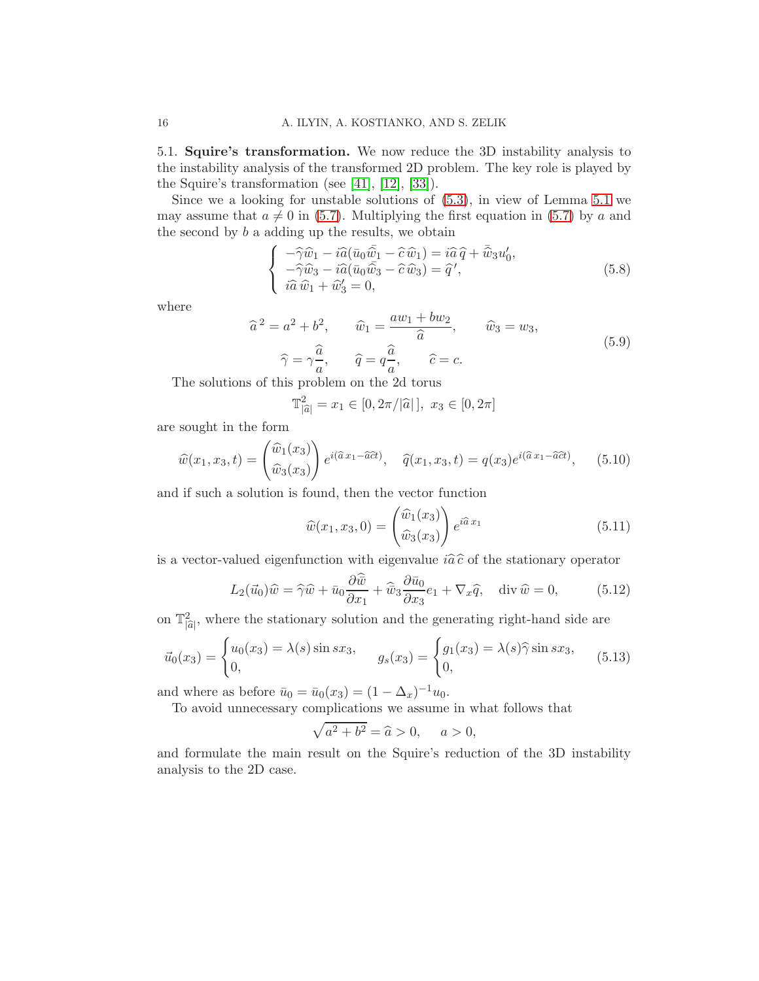<span id="page-15-0"></span>5.1. Squire's transformation. We now reduce the 3D instability analysis to the instability analysis of the transformed 2D problem. The key role is played by the Squire's transformation (see [\[41\]](#page-29-11), [\[12\]](#page-27-11), [\[33\]](#page-29-7)).

Since we a looking for unstable solutions of [\(5.3\)](#page-13-2), in view of Lemma [5.1](#page-14-1) we may assume that  $a \neq 0$  in [\(5.7\)](#page-14-0). Multiplying the first equation in (5.7) by a and the second by  $b$  a adding up the results, we obtain

$$
\begin{cases}\n-\hat{\gamma}\hat{w}_1 - i\hat{a}(\bar{u}_0\bar{\hat{w}}_1 - \hat{c}\hat{w}_1) = i\hat{a}\hat{q} + \bar{\hat{w}}_3u'_0, \\
-\hat{\gamma}\hat{w}_3 - i\hat{a}(\bar{u}_0\bar{\hat{w}}_3 - \hat{c}\hat{w}_3) = \hat{q}', \\
i\hat{a}\hat{w}_1 + \hat{w}_3' = 0,\n\end{cases} (5.8)
$$

where

<span id="page-15-3"></span>
$$
\hat{a}^2 = a^2 + b^2, \qquad \hat{w}_1 = \frac{aw_1 + bw_2}{\hat{a}}, \qquad \hat{w}_3 = w_3,
$$
  

$$
\hat{\gamma} = \gamma \frac{\hat{a}}{a}, \qquad \hat{q} = q \frac{\hat{a}}{a}, \qquad \hat{c} = c.
$$
 (5.9)

The solutions of this problem on the 2d torus

$$
\mathbb{T}_{|\widehat{a}|}^2 = x_1 \in [0, 2\pi/|\widehat{a}|], \ x_3 \in [0, 2\pi]
$$

are sought in the form

$$
\widehat{w}(x_1, x_3, t) = \begin{pmatrix} \widehat{w}_1(x_3) \\ \widehat{w}_3(x_3) \end{pmatrix} e^{i(\widehat{a}x_1 - \widehat{a}\widehat{c}t)}, \quad \widehat{q}(x_1, x_3, t) = q(x_3)e^{i(\widehat{a}x_1 - \widehat{a}\widehat{c}t)}, \quad (5.10)
$$

and if such a solution is found, then the vector function

<span id="page-15-1"></span>
$$
\widehat{w}(x_1, x_3, 0) = \begin{pmatrix} \widehat{w}_1(x_3) \\ \widehat{w}_3(x_3) \end{pmatrix} e^{i\widehat{a}x_1}
$$
\n(5.11)

is a vector-valued eigenfunction with eigenvalue  $i\hat{a}\hat{c}$  of the stationary operator

<span id="page-15-2"></span>
$$
L_2(\vec{u}_0)\hat{w} = \hat{\gamma}\hat{w} + \bar{u}_0 \frac{\partial \hat{\vec{w}}}{\partial x_1} + \hat{\vec{w}}_3 \frac{\partial \bar{u}_0}{\partial x_3} e_1 + \nabla_x \hat{q}, \quad \text{div } \hat{w} = 0,
$$
 (5.12)

on  $\mathbb{T}^2_{|\hat{a}|}$ , where the stationary solution and the generating right-hand side are

<span id="page-15-4"></span>
$$
\vec{u}_0(x_3) = \begin{cases} u_0(x_3) = \lambda(s) \sin sx_3, \\ 0, \end{cases} \quad g_s(x_3) = \begin{cases} g_1(x_3) = \lambda(s) \hat{\gamma} \sin sx_3, \\ 0, \end{cases} \tag{5.13}
$$

and where as before  $\bar{u}_0 = \bar{u}_0(x_3) = (1 - \Delta_x)^{-1} u_0$ .

To avoid unnecessary complications we assume in what follows that

$$
\sqrt{a^2 + b^2} = \hat{a} > 0, \quad a > 0,
$$

and formulate the main result on the Squire's reduction of the 3D instability analysis to the 2D case.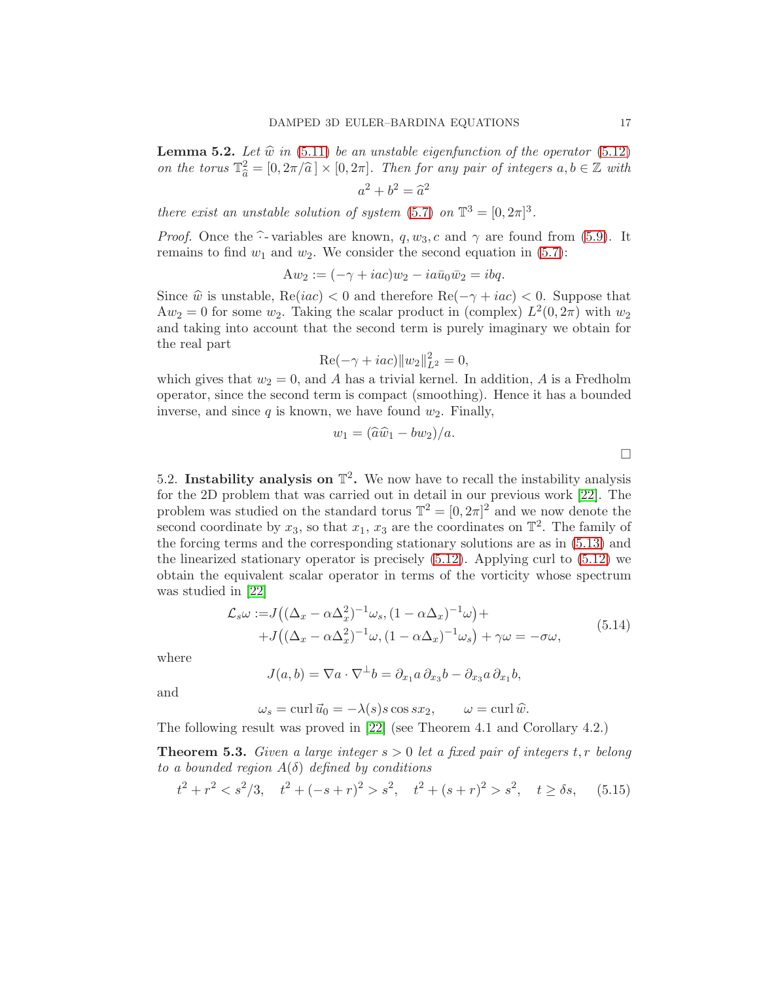<span id="page-16-2"></span>**Lemma 5.2.** Let  $\hat{w}$  in [\(5.11\)](#page-15-1) be an unstable eigenfunction of the operator [\(5.12\)](#page-15-2) on the torus  $\mathbb{T}_{\widehat{a}}^2 = [0, 2\pi/\widehat{a}] \times [0, 2\pi]$ . Then for any pair of integers  $a, b \in \mathbb{Z}$  with

$$
a^2 + b^2 = \widehat{a}^2
$$

there exist an unstable solution of system [\(5.7\)](#page-14-0) on  $\mathbb{T}^3 = [0, 2\pi]^3$ .

*Proof.* Once the  $\hat{\cdot}$ - variables are known, q,  $w_3$ , c and  $\gamma$  are found from [\(5.9\)](#page-15-3). It remains to find  $w_1$  and  $w_2$ . We consider the second equation in [\(5.7\)](#page-14-0):

$$
Aw_2:=(-\gamma+iac)w_2-ia\bar{u}_0\bar{w}_2=ibq.
$$

Since  $\hat{w}$  is unstable,  $\text{Re}(iac) < 0$  and therefore  $\text{Re}(-\gamma +iac) < 0$ . Suppose that  $Aw_2 = 0$  for some  $w_2$ . Taking the scalar product in (complex)  $L^2(0, 2\pi)$  with  $w_2$ and taking into account that the second term is purely imaginary we obtain for the real part

$$
\text{Re}(-\gamma + iac)||w_2||_{L^2}^2 = 0,
$$

which gives that  $w_2 = 0$ , and A has a trivial kernel. In addition, A is a Fredholm operator, since the second term is compact (smoothing). Hence it has a bounded inverse, and since  $q$  is known, we have found  $w_2$ . Finally,

$$
w_1 = (\widehat{a}\widehat{w}_1 - bw_2)/a.
$$

<span id="page-16-0"></span>5.2. Instability analysis on  $\mathbb{T}^2$ . We now have to recall the instability analysis for the 2D problem that was carried out in detail in our previous work [\[22\]](#page-28-9). The problem was studied on the standard torus  $\mathbb{T}^2 = [0, 2\pi]^2$  and we now denote the second coordinate by  $x_3$ , so that  $x_1, x_3$  are the coordinates on  $\mathbb{T}^2$ . The family of the forcing terms and the corresponding stationary solutions are as in [\(5.13\)](#page-15-4) and the linearized stationary operator is precisely  $(5.12)$ . Applying curl to  $(5.12)$  we obtain the equivalent scalar operator in terms of the vorticity whose spectrum was studied in [\[22\]](#page-28-9)

<span id="page-16-1"></span>
$$
\mathcal{L}_s \omega := J\left( (\Delta_x - \alpha \Delta_x^2)^{-1} \omega_s, (1 - \alpha \Delta_x)^{-1} \omega \right) + \n+ J\left( (\Delta_x - \alpha \Delta_x^2)^{-1} \omega, (1 - \alpha \Delta_x)^{-1} \omega_s \right) + \gamma \omega = -\sigma \omega,
$$
\n(5.14)

where

$$
J(a,b) = \nabla a \cdot \nabla^{\perp} b = \partial_{x_1} a \, \partial_{x_3} b - \partial_{x_3} a \, \partial_{x_1} b,
$$

and

 $\omega_s = \text{curl } \vec{u}_0 = -\lambda(s)s \cos sx_2, \qquad \omega = \text{curl } \hat{w}.$ 

The following result was proved in [\[22\]](#page-28-9) (see Theorem 4.1 and Corollary 4.2.)

**Theorem 5.3.** Given a large integer  $s > 0$  let a fixed pair of integers  $t, r$  belong to a bounded region  $A(\delta)$  defined by conditions

$$
t^2 + r^2 < s^2/3, \quad t^2 + (-s+r)^2 > s^2, \quad t^2 + (s+r)^2 > s^2, \quad t \ge \delta s,\tag{5.15}
$$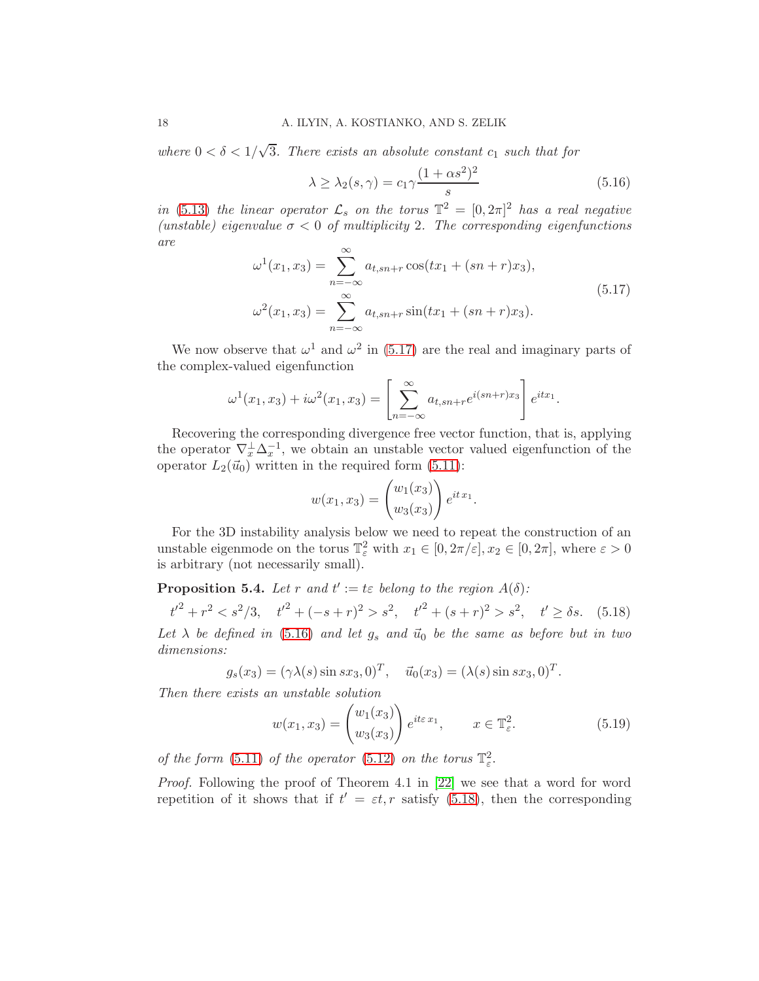where  $0 < \delta < 1/\sqrt{3}$ . There exists an absolute constant  $c_1$  such that for

<span id="page-17-1"></span>
$$
\lambda \ge \lambda_2(s,\gamma) = c_1 \gamma \frac{(1+\alpha s^2)^2}{s} \tag{5.16}
$$

in [\(5.13\)](#page-15-4) the linear operator  $\mathcal{L}_s$  on the torus  $\mathbb{T}^2 = [0, 2\pi]^2$  has a real negative (unstable) eigenvalue  $\sigma < 0$  of multiplicity 2. The corresponding eigenfunctions are

<span id="page-17-0"></span>
$$
\omega^{1}(x_{1}, x_{3}) = \sum_{n=-\infty}^{\infty} a_{t, sn+r} \cos(tx_{1} + (sn + r)x_{3}),
$$
  

$$
\omega^{2}(x_{1}, x_{3}) = \sum_{n=-\infty}^{\infty} a_{t, sn+r} \sin(tx_{1} + (sn + r)x_{3}).
$$
\n(5.17)

We now observe that  $\omega^1$  and  $\omega^2$  in [\(5.17\)](#page-17-0) are the real and imaginary parts of the complex-valued eigenfunction

$$
\omega^{1}(x_{1}, x_{3}) + i\omega^{2}(x_{1}, x_{3}) = \left[\sum_{n=-\infty}^{\infty} a_{t, sn + r} e^{i(sn+r)x_{3}}\right] e^{itx_{1}}.
$$

Recovering the corresponding divergence free vector function, that is, applying the operator  $\nabla_x^{\perp} \Delta_x^{-1}$ , we obtain an unstable vector valued eigenfunction of the operator  $L_2(\vec{u}_0)$  written in the required form [\(5.11\)](#page-15-1):

$$
w(x_1, x_3) = {w_1(x_3) \choose w_3(x_3)} e^{it x_1}.
$$

For the 3D instability analysis below we need to repeat the construction of an unstable eigenmode on the torus  $\mathbb{T}^2_{\varepsilon}$  with  $x_1 \in [0, 2\pi/\varepsilon], x_2 \in [0, 2\pi]$ , where  $\varepsilon > 0$ is arbitrary (not necessarily small).

<span id="page-17-4"></span>**Proposition 5.4.** Let r and  $t' := t\varepsilon$  belong to the region  $A(\delta)$ :

<span id="page-17-2"></span> $t'^2 + r^2 < s^2/3, \quad t'^2 + (-s + r)^2 > s^2, \quad t'^2 + (s + r)^2 > s^2, \quad t' \ge \delta s.$  (5.18)

Let  $\lambda$  be defined in [\(5.16\)](#page-17-1) and let  $g_s$  and  $\vec{u}_0$  be the same as before but in two dimensions:

$$
g_s(x_3) = (\gamma \lambda(s) \sin sx_3, 0)^T
$$
,  $\vec{u}_0(x_3) = (\lambda(s) \sin sx_3, 0)^T$ .

Then there exists an unstable solution

<span id="page-17-3"></span>
$$
w(x_1, x_3) = \begin{pmatrix} w_1(x_3) \\ w_3(x_3) \end{pmatrix} e^{it\varepsilon x_1}, \qquad x \in \mathbb{T}^2_{\varepsilon}.
$$
 (5.19)

of the form [\(5.11\)](#page-15-1) of the operator [\(5.12\)](#page-15-2) on the torus  $\mathbb{T}^2_{\varepsilon}$ .

Proof. Following the proof of Theorem 4.1 in [\[22\]](#page-28-9) we see that a word for word repetition of it shows that if  $t' = \varepsilon t$ , r satisfy [\(5.18\)](#page-17-2), then the corresponding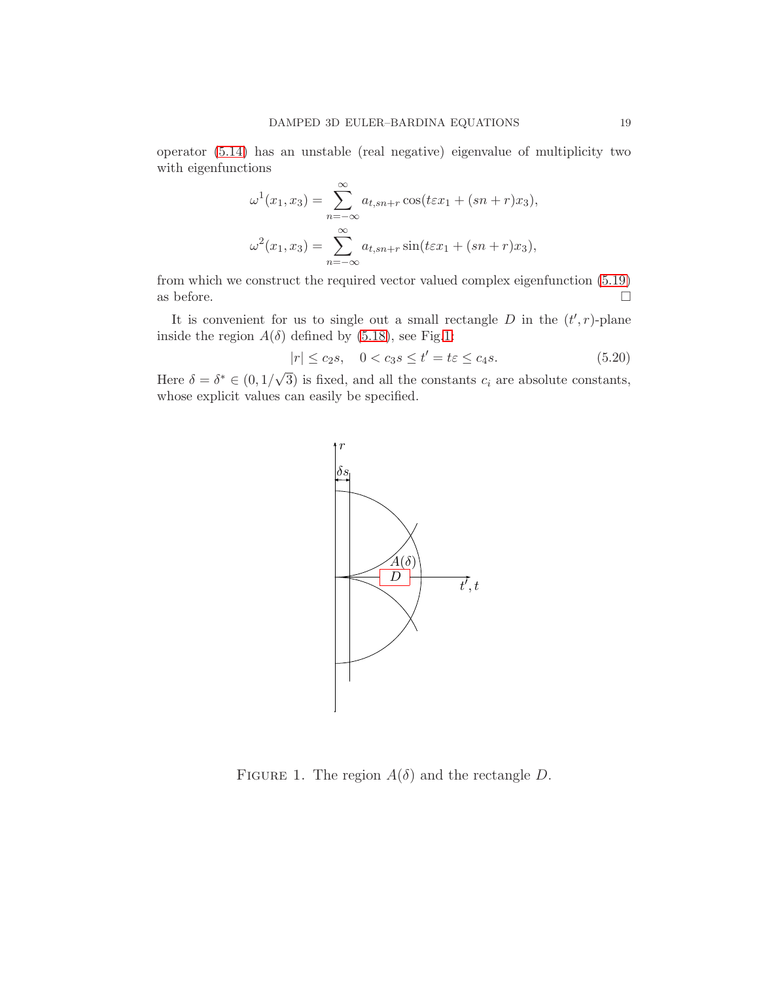operator [\(5.14\)](#page-16-1) has an unstable (real negative) eigenvalue of multiplicity two with eigenfunctions

$$
\omega^{1}(x_{1}, x_{3}) = \sum_{n=-\infty}^{\infty} a_{t, sn+r} \cos(t \varepsilon x_{1} + (sn + r)x_{3}),
$$

$$
\omega^{2}(x_{1}, x_{3}) = \sum_{n=-\infty}^{\infty} a_{t, sn+r} \sin(t \varepsilon x_{1} + (sn + r)x_{3}),
$$

from which we construct the required vector valued complex eigenfunction [\(5.19\)](#page-17-3) as before.  $\hfill \square$ 

It is convenient for us to single out a small rectangle  $D$  in the  $(t', r)$ -plane inside the region  $A(\delta)$  defined by [\(5.18\)](#page-17-2), see Fig[.1:](#page-18-0)

$$
|r| \le c_2 s, \quad 0 < c_3 s \le t' = t\varepsilon \le c_4 s. \tag{5.20}
$$

Here  $\delta = \delta^* \in (0, 1/\sqrt{3})$  is fixed, and all the constants  $c_i$  are absolute constants, whose explicit values can easily be specified.



<span id="page-18-0"></span>FIGURE 1. The region  $A(\delta)$  and the rectangle D.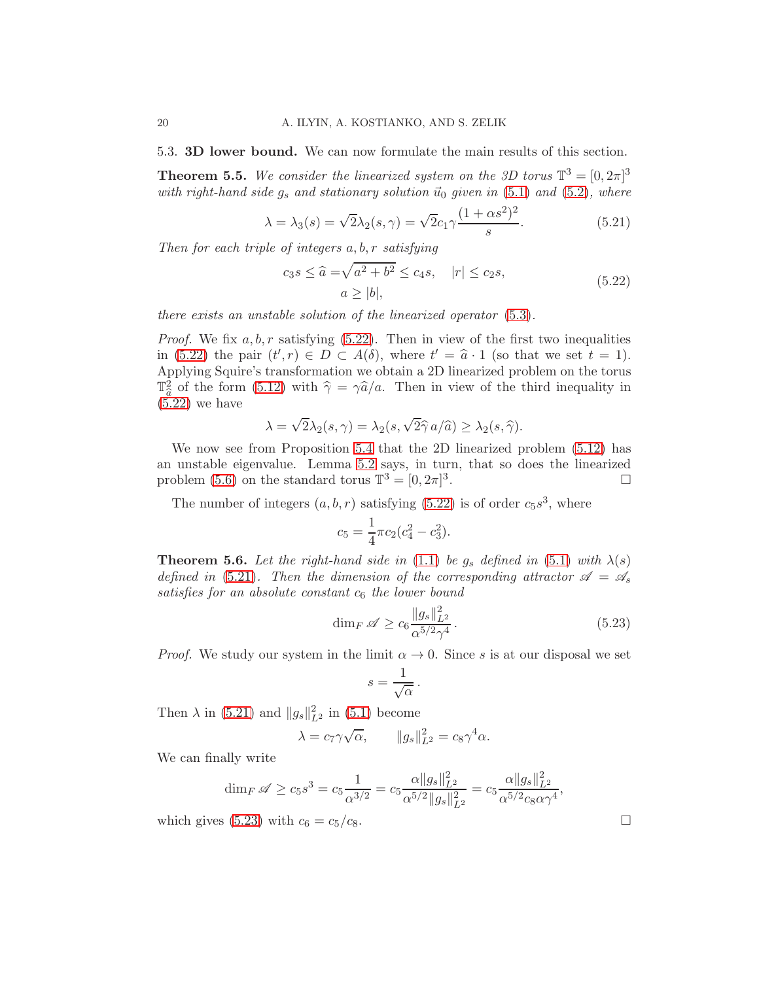<span id="page-19-0"></span>5.3. 3D lower bound. We can now formulate the main results of this section.

**Theorem 5.5.** We consider the linearized system on the 3D torus  $\mathbb{T}^3 = [0, 2\pi]^3$ with right-hand side  $g_s$  and stationary solution  $\vec{u}_0$  given in [\(5.1\)](#page-13-4) and [\(5.2\)](#page-13-1), where

<span id="page-19-2"></span>
$$
\lambda = \lambda_3(s) = \sqrt{2}\lambda_2(s,\gamma) = \sqrt{2}c_1\gamma\frac{(1+\alpha s^2)^2}{s}.\tag{5.21}
$$

Then for each triple of integers a, b, r satisfying

<span id="page-19-1"></span>
$$
c_3 s \le \widehat{a} = \sqrt{a^2 + b^2} \le c_4 s, \quad |r| \le c_2 s,
$$
  

$$
a \ge |b|,
$$
 (5.22)

there exists an unstable solution of the linearized operator [\(5.3\)](#page-13-2).

*Proof.* We fix  $a, b, r$  satisfying  $(5.22)$ . Then in view of the first two inequalities in [\(5.22\)](#page-19-1) the pair  $(t',r) \in D \subset A(\delta)$ , where  $t' = \hat{a} \cdot 1$  (so that we set  $t = 1$ ). Applying Squire's transformation we obtain a 2D linearized problem on the torus  $\mathbb{T}^2_{\widehat{\alpha}}$  of the form [\(5.12\)](#page-15-2) with  $\widehat{\gamma} = \gamma \widehat{a}/a$ . Then in view of the third inequality in  $(5.22)$  we have

$$
\lambda = \sqrt{2}\lambda_2(s,\gamma) = \lambda_2(s,\sqrt{2}\hat{\gamma} a/\hat{a}) \geq \lambda_2(s,\hat{\gamma}).
$$

We now see from Proposition [5.4](#page-17-4) that the 2D linearized problem [\(5.12\)](#page-15-2) has an unstable eigenvalue. Lemma [5.2](#page-16-2) says, in turn, that so does the linearized problem [\(5.6\)](#page-14-2) on the standard torus  $\mathbb{T}^3 = [0, 2\pi]^3$ . — Первый процесс в серверності процесі в процесі в серверності процесі в серверності процесі в серверності <mark>п</mark>р

The number of integers  $(a, b, r)$  satisfying  $(5.22)$  is of order  $c_5s^3$ , where

$$
c_5 = \frac{1}{4}\pi c_2(c_4^2 - c_3^2).
$$

**Theorem 5.6.** Let the right-hand side in [\(1.1\)](#page-1-1) be  $g_s$  defined in [\(5.1\)](#page-13-4) with  $\lambda(s)$ defined in [\(5.21\)](#page-19-2). Then the dimension of the corresponding attractor  $\mathscr{A} = \mathscr{A}_s$ satisfies for an absolute constant  $c_6$  the lower bound

<span id="page-19-3"></span>
$$
\dim_F \mathscr{A} \ge c_6 \frac{\|g_s\|_{L^2}^2}{\alpha^{5/2} \gamma^4} \,. \tag{5.23}
$$

*Proof.* We study our system in the limit  $\alpha \to 0$ . Since s is at our disposal we set

$$
s = \frac{1}{\sqrt{\alpha}}.
$$

Then  $\lambda$  in [\(5.21\)](#page-19-2) and  $||g_s||_{L^2}^2$  in [\(5.1\)](#page-13-4) become

$$
\lambda = c_7 \gamma \sqrt{\alpha}, \qquad \|g_s\|_{L^2}^2 = c_8 \gamma^4 \alpha.
$$

We can finally write

$$
\dim_F \mathscr{A} \ge c_5 s^3 = c_5 \frac{1}{\alpha^{3/2}} = c_5 \frac{\alpha \|g_s\|_{L^2}^2}{\alpha^{5/2} \|g_s\|_{L^2}^2} = c_5 \frac{\alpha \|g_s\|_{L^2}^2}{\alpha^{5/2} c_8 \alpha \gamma^4},
$$

which gives [\(5.23\)](#page-19-3) with  $c_6 = c_5/c_8$ .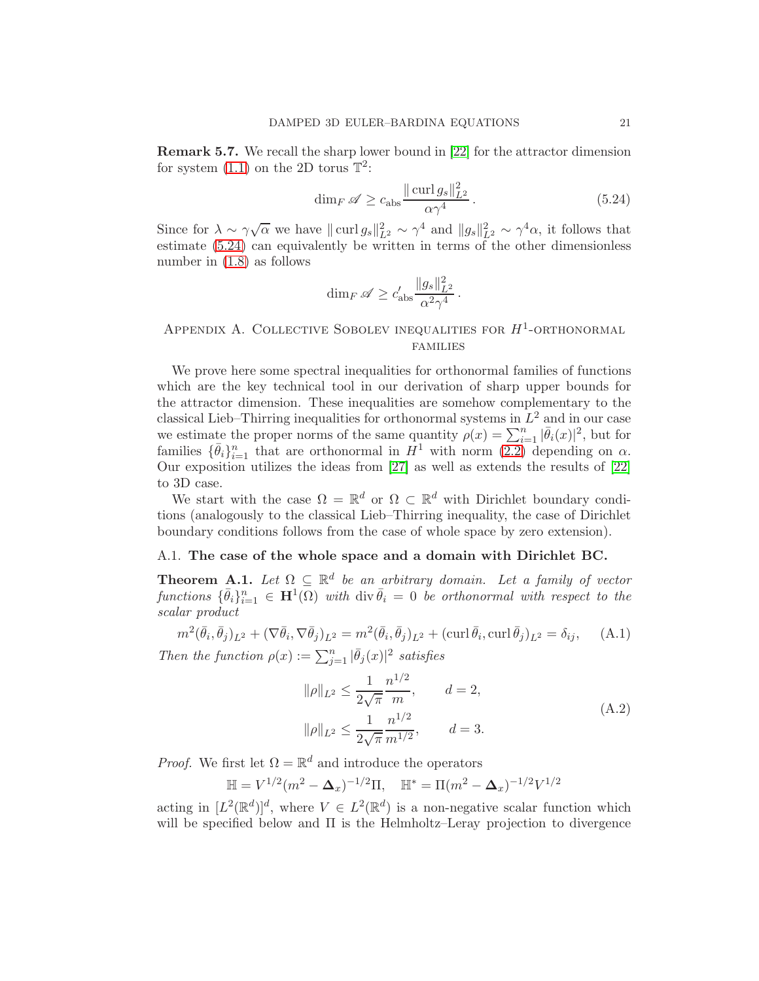Remark 5.7. We recall the sharp lower bound in [\[22\]](#page-28-9) for the attractor dimension for system  $(1.1)$  on the 2D torus  $\mathbb{T}^2$ :

<span id="page-20-2"></span>
$$
\dim_F \mathscr{A} \ge c_{\text{abs}} \frac{\|\operatorname{curl} g_s\|_{L^2}^2}{\alpha \gamma^4} \,. \tag{5.24}
$$

Since for  $\lambda \sim \gamma \sqrt{\alpha}$  we have  $\|\text{curl}\,g_s\|_{L^2}^2 \sim \gamma^4$  and  $\|g_s\|_{L^2}^2 \sim \gamma^4 \alpha$ , it follows that estimate [\(5.24\)](#page-20-2) can equivalently be written in terms of the other dimensionless number in [\(1.8\)](#page-3-1) as follows

$$
\dim_F \mathscr{A} \ge c'_{\mathrm{abs}} \frac{\|g_s\|_{L^2}^2}{\alpha^2 \gamma^4}.
$$

### <span id="page-20-0"></span>APPENDIX A. COLLECTIVE SOBOLEV INEQUALITIES FOR  $H^1$ -ORTHONORMAL families

We prove here some spectral inequalities for orthonormal families of functions which are the key technical tool in our derivation of sharp upper bounds for the attractor dimension. These inequalities are somehow complementary to the classical Lieb–Thirring inequalities for orthonormal systems in  $L^2$  and in our case we estimate the proper norms of the same quantity  $\rho(x) = \sum_{i=1}^{n} |\bar{\theta}_i(x)|^2$ , but for families  $\{\bar{\theta}_i\}_{i=1}^n$  that are orthonormal in  $H^1$  with norm  $(2.2)$  depending on  $\alpha$ . Our exposition utilizes the ideas from [\[27\]](#page-28-13) as well as extends the results of [\[22\]](#page-28-9) to 3D case.

We start with the case  $\Omega = \mathbb{R}^d$  or  $\Omega \subset \mathbb{R}^d$  with Dirichlet boundary conditions (analogously to the classical Lieb–Thirring inequality, the case of Dirichlet boundary conditions follows from the case of whole space by zero extension).

### <span id="page-20-1"></span>A.1. The case of the whole space and a domain with Dirichlet BC.

<span id="page-20-5"></span>**Theorem A.1.** Let  $\Omega \subseteq \mathbb{R}^d$  be an arbitrary domain. Let a family of vector functions  $\{\bar{\theta}_i\}_{i=1}^n \in \mathbf{H}^1(\Omega)$  with div  $\bar{\theta}_i = 0$  be orthonormal with respect to the scalar product

<span id="page-20-3"></span>
$$
m^2(\bar{\theta}_i, \bar{\theta}_j)_{L^2} + (\nabla \bar{\theta}_i, \nabla \bar{\theta}_j)_{L^2} = m^2(\bar{\theta}_i, \bar{\theta}_j)_{L^2} + (\text{curl } \bar{\theta}_i, \text{curl } \bar{\theta}_j)_{L^2} = \delta_{ij}, \quad \text{(A.1)}
$$
  
Then the function  $\rho(x) := \sum_{j=1}^n |\bar{\theta}_j(x)|^2 \text{ satisfies}$ 

<span id="page-20-4"></span>
$$
\|\rho\|_{L^2} \le \frac{1}{2\sqrt{\pi}} \frac{n^{1/2}}{m}, \qquad d = 2,
$$
  

$$
\|\rho\|_{L^2} \le \frac{1}{2\sqrt{\pi}} \frac{n^{1/2}}{m^{1/2}}, \qquad d = 3.
$$
 (A.2)

*Proof.* We first let  $\Omega = \mathbb{R}^d$  and introduce the operators

$$
\mathbb{H} = V^{1/2} (m^2 - \Delta_x)^{-1/2} \Pi, \quad \mathbb{H}^* = \Pi (m^2 - \Delta_x)^{-1/2} V^{1/2}
$$

 $\frac{2\sqrt{\pi}}{2}$ 

acting in  $[L^2(\mathbb{R}^d)]^d$ , where  $V \in L^2(\mathbb{R}^d)$  is a non-negative scalar function which will be specified below and  $\Pi$  is the Helmholtz–Leray projection to divergence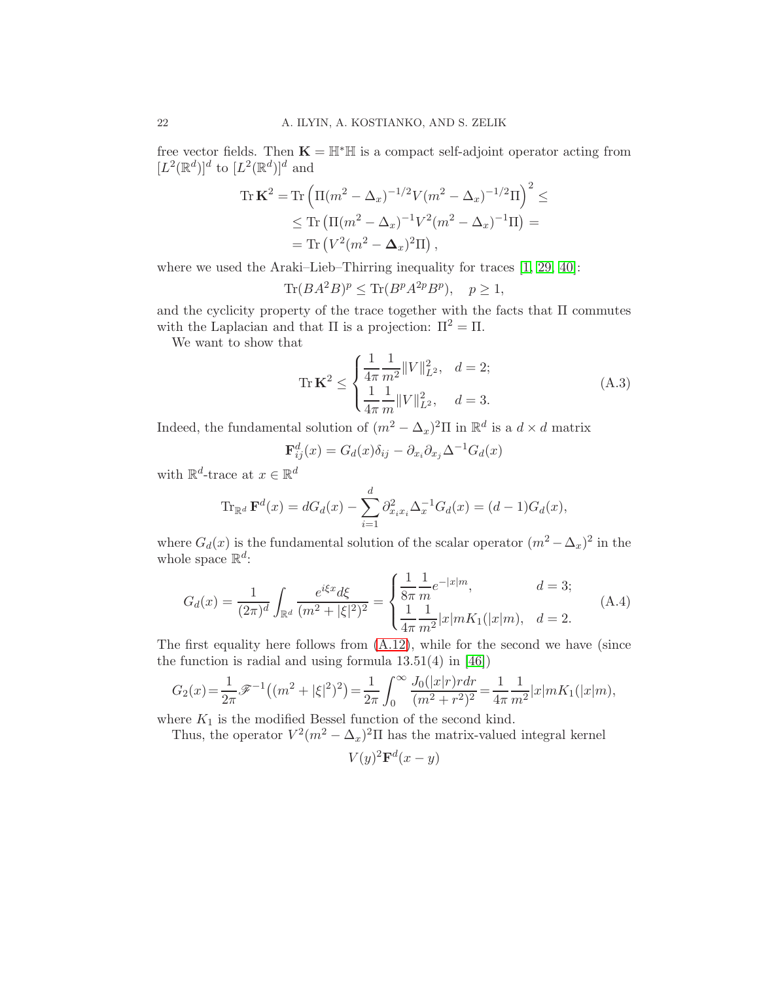free vector fields. Then  $\mathbf{K} = \mathbb{H}^* \mathbb{H}$  is a compact self-adjoint operator acting from  $[L^2(\mathbb{R}^d)]^d$  to  $[L^2(\mathbb{R}^d)]^d$  and

$$
\begin{split} \text{Tr}\,\mathbf{K}^2 &= \text{Tr}\left(\Pi(m^2 - \Delta_x)^{-1/2}V(m^2 - \Delta_x)^{-1/2}\Pi\right)^2 \leq \\ &\leq \text{Tr}\left(\Pi(m^2 - \Delta_x)^{-1}V^2(m^2 - \Delta_x)^{-1}\Pi\right) = \\ &= \text{Tr}\left(V^2(m^2 - \Delta_x)^2\Pi\right), \end{split}
$$

where we used the Araki–Lieb–Thirring inequality for traces [\[1,](#page-27-12) [29,](#page-28-15) [40\]](#page-29-12):

$$
\text{Tr}(BA^2B)^p \le \text{Tr}(B^pA^{2p}B^p), \quad p \ge 1,
$$

and the cyclicity property of the trace together with the facts that  $\Pi$  commutes with the Laplacian and that  $\Pi$  is a projection:  $\Pi^2 = \Pi$ .

We want to show that

<span id="page-21-1"></span>
$$
\operatorname{Tr}\mathbf{K}^{2} \leq \begin{cases} \frac{1}{4\pi} \frac{1}{m^{2}} \|V\|_{L^{2}}^{2}, & d = 2; \\ \frac{1}{4\pi} \frac{1}{m} \|V\|_{L^{2}}^{2}, & d = 3. \end{cases}
$$
(A.3)

Indeed, the fundamental solution of  $(m^2 - \Delta_x)^2 \Pi$  in  $\mathbb{R}^d$  is a  $d \times d$  matrix

$$
\mathbf{F}_{ij}^d(x) = G_d(x)\delta_{ij} - \partial_{x_i}\partial_{x_j}\Delta^{-1}G_d(x)
$$

with  $\mathbb{R}^d$ -trace at  $x \in \mathbb{R}^d$ 

$$
\operatorname{Tr}_{\mathbb{R}^d} \mathbf{F}^d(x) = dG_d(x) - \sum_{i=1}^d \partial_{x_i x_i}^2 \Delta_x^{-1} G_d(x) = (d-1)G_d(x),
$$

where  $G_d(x)$  is the fundamental solution of the scalar operator  $(m^2 - \Delta_x)^2$  in the whole space  $\mathbb{R}^d$ :

<span id="page-21-0"></span>
$$
G_d(x) = \frac{1}{(2\pi)^d} \int_{\mathbb{R}^d} \frac{e^{i\xi x} d\xi}{(m^2 + |\xi|^2)^2} = \begin{cases} \frac{1}{8\pi} \frac{1}{m} e^{-|x|m}, & d = 3; \\ \frac{1}{4\pi} \frac{1}{m^2} |x|m K_1(|x|m), & d = 2. \end{cases}
$$
(A.4)

The first equality here follows from  $(A.12)$ , while for the second we have (since the function is radial and using formula  $13.51(4)$  in [\[46\]](#page-29-13))

$$
G_2(x) = \frac{1}{2\pi} \mathscr{F}^{-1}((m^2 + |\xi|^2)^2) = \frac{1}{2\pi} \int_0^\infty \frac{J_0(|x|r) r dr}{(m^2 + r^2)^2} = \frac{1}{4\pi} \frac{1}{m^2} |x| m K_1(|x|m),
$$

where  $K_1$  is the modified Bessel function of the second kind.

Thus, the operator  $V^2(m^2 - \Delta_x)^2 \Pi$  has the matrix-valued integral kernel

 $V(y)^2 \mathbf{F}^d(x-y)$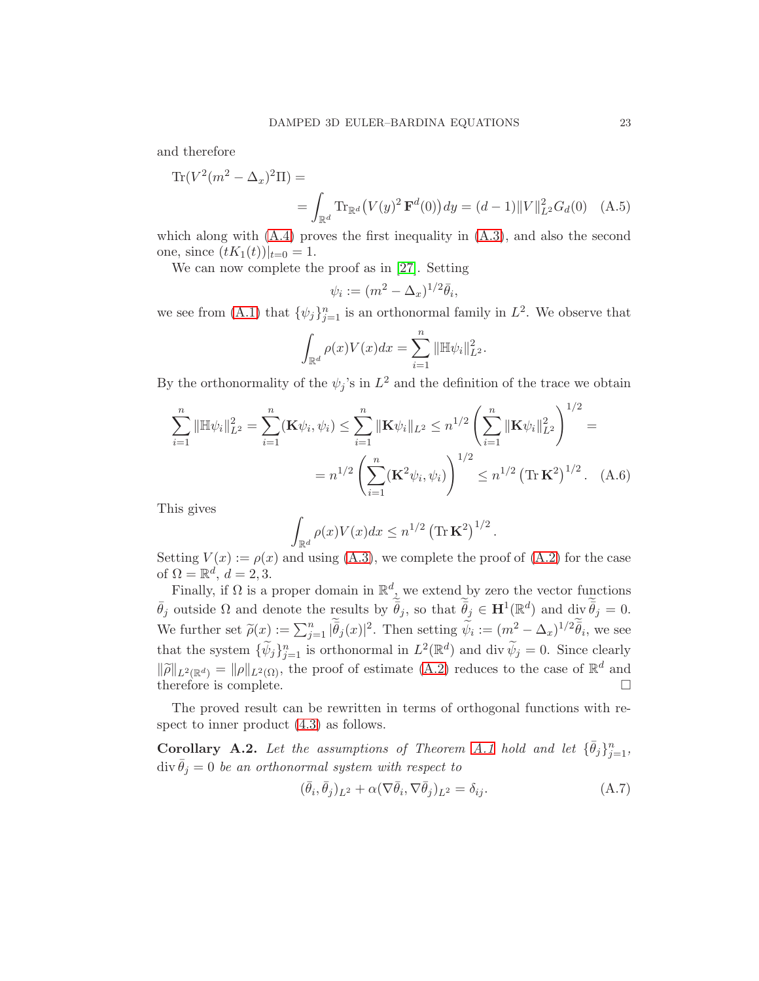and therefore

$$
\text{Tr}(V^2(m^2 - \Delta_x)^2 \Pi) =
$$
  
= 
$$
\int_{\mathbb{R}^d} \text{Tr}_{\mathbb{R}^d} (V(y)^2 \mathbf{F}^d(0)) dy = (d-1) ||V||_{L^2}^2 G_d(0) \quad (A.5)
$$

which along with  $(A.4)$  proves the first inequality in  $(A.3)$ , and also the second one, since  $(tK_1(t))|_{t=0} = 1$ .

We can now complete the proof as in [\[27\]](#page-28-13). Setting

<span id="page-22-0"></span>
$$
\psi_i := (m^2 - \Delta_x)^{1/2} \bar{\theta}_i,
$$

we see from [\(A.1\)](#page-20-3) that  $\{\psi_j\}_{j=1}^n$  is an orthonormal family in  $L^2$ . We observe that

$$
\int_{\mathbb{R}^d} \rho(x) V(x) dx = \sum_{i=1}^n \|\mathbb{H} \psi_i\|_{L^2}^2.
$$

By the orthonormality of the  $\psi_j$ 's in  $L^2$  and the definition of the trace we obtain

$$
\sum_{i=1}^{n} \|\mathbb{H}\psi_{i}\|_{L^{2}}^{2} = \sum_{i=1}^{n} (\mathbf{K}\psi_{i}, \psi_{i}) \leq \sum_{i=1}^{n} \|\mathbf{K}\psi_{i}\|_{L^{2}} \leq n^{1/2} \left(\sum_{i=1}^{n} \|\mathbf{K}\psi_{i}\|_{L^{2}}^{2}\right)^{1/2} =
$$

$$
= n^{1/2} \left(\sum_{i=1}^{n} (\mathbf{K}^{2}\psi_{i}, \psi_{i})\right)^{1/2} \leq n^{1/2} (\text{Tr }\mathbf{K}^{2})^{1/2}. \quad (A.6)
$$

This gives

$$
\int_{\mathbb{R}^d} \rho(x) V(x) dx \leq n^{1/2} \left( \text{Tr} \, \mathbf{K}^2 \right)^{1/2}.
$$

Setting  $V(x) := \rho(x)$  and using [\(A.3\)](#page-21-1), we complete the proof of [\(A.2\)](#page-20-4) for the case of  $\Omega = \mathbb{R}^d$ ,  $d = 2, 3$ .

Finally, if  $\Omega$  is a proper domain in  $\mathbb{R}^d$ , we extend by zero the vector functions  $\bar{\theta}_j$  outside  $\Omega$  and denote the results by  $\bar{\theta}_j$ , so that  $\bar{\theta}_j \in \mathbf{H}^1(\mathbb{R}^d)$  and  $\text{div } \bar{\theta}_j = 0$ . We further set  $\tilde{\rho}(x) := \sum_{j=1}^n |\bar{\theta}_j(x)|^2$ . Then setting  $\tilde{\psi}_i := (m^2 - \Delta_x)^{1/2} \bar{\theta}_i$ , we see that the system  $\{\widetilde{\psi}_j\}_{j=1}^n$  is orthonormal in  $L^2(\mathbb{R}^d)$  and div  $\widetilde{\psi}_j = 0$ . Since clearly  $\|\widetilde{\rho}\|_{L^2(\mathbb{R}^d)} = \|\rho\|_{L^2(\Omega)}$ , the proof of estimate  $(A.2)$  reduces to the case of  $\mathbb{R}^d$  and therefore is complete.

The proved result can be rewritten in terms of orthogonal functions with respect to inner product [\(4.3\)](#page-11-3) as follows.

**Corollary A.2.** Let the assumptions of Theorem [A.1](#page-20-5) hold and let  ${\lbrace \bar{\theta}_j \rbrace}_{j=1}^n$ ,  $div \theta_j = 0$  be an orthonormal system with respect to

<span id="page-22-1"></span>
$$
(\bar{\theta}_i, \bar{\theta}_j)_{L^2} + \alpha (\nabla \bar{\theta}_i, \nabla \bar{\theta}_j)_{L^2} = \delta_{ij}.
$$
\n(A.7)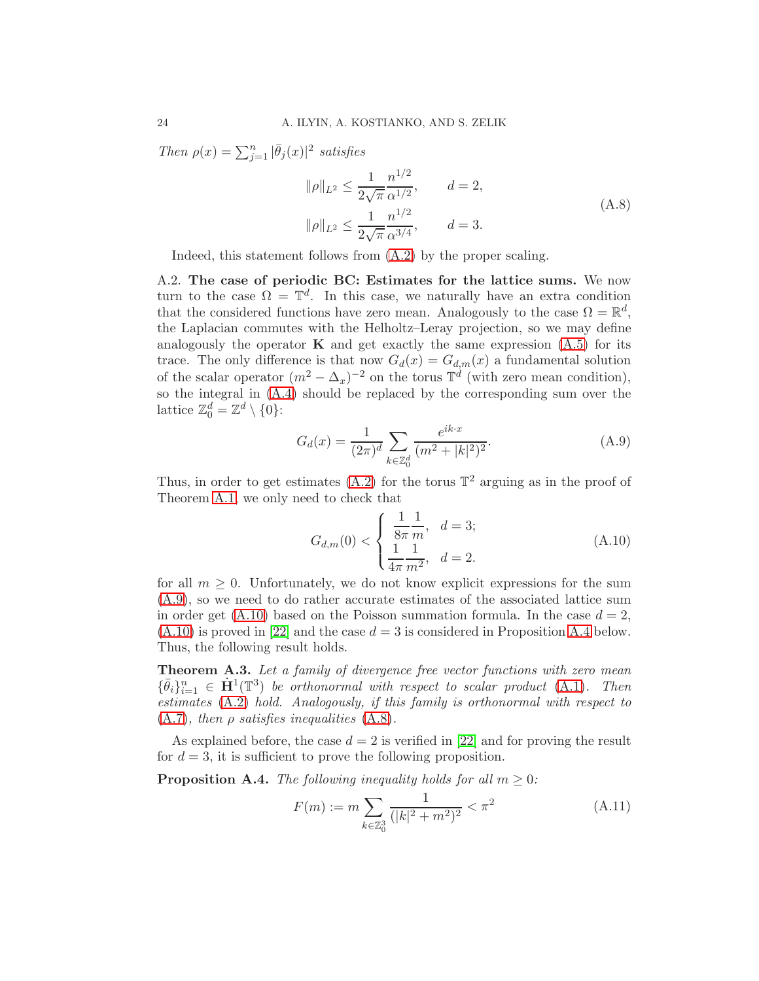Then  $\rho(x) = \sum_{j=1}^n |\bar{\theta}_j(x)|^2$  satisfies

<span id="page-23-1"></span>
$$
\|\rho\|_{L^2} \le \frac{1}{2\sqrt{\pi}} \frac{n^{1/2}}{\alpha^{1/2}}, \qquad d = 2,
$$
  

$$
\|\rho\|_{L^2} \le \frac{1}{2\sqrt{\pi}} \frac{n^{1/2}}{\alpha^{3/4}}, \qquad d = 3.
$$
 (A.8)

<span id="page-23-0"></span>Indeed, this statement follows from [\(A.2\)](#page-20-4) by the proper scaling.

A.2. The case of periodic BC: Estimates for the lattice sums. We now turn to the case  $\Omega = \mathbb{T}^d$ . In this case, we naturally have an extra condition that the considered functions have zero mean. Analogously to the case  $\Omega = \mathbb{R}^d$ , the Laplacian commutes with the Helholtz–Leray projection, so we may define analogously the operator  $\bf{K}$  and get exactly the same expression  $(A.5)$  for its trace. The only difference is that now  $G_d(x) = G_{d,m}(x)$  a fundamental solution of the scalar operator  $(m^2 - \Delta_x)^{-2}$  on the torus  $\mathbb{T}^d$  (with zero mean condition), so the integral in [\(A.4\)](#page-21-0) should be replaced by the corresponding sum over the lattice  $\mathbb{Z}_0^d = \mathbb{Z}^d \setminus \{0\}$ :

<span id="page-23-2"></span>
$$
G_d(x) = \frac{1}{(2\pi)^d} \sum_{k \in \mathbb{Z}_0^d} \frac{e^{ik \cdot x}}{(m^2 + |k|^2)^2}.
$$
 (A.9)

Thus, in order to get estimates  $(A.2)$  for the torus  $\mathbb{T}^2$  arguing as in the proof of Theorem [A.1,](#page-20-5) we only need to check that

<span id="page-23-3"></span>
$$
G_{d,m}(0) < \begin{cases} \frac{1}{8\pi} \frac{1}{m}, & d = 3; \\ \frac{1}{4\pi} \frac{1}{m^2}, & d = 2. \end{cases} \tag{A.10}
$$

for all  $m \geq 0$ . Unfortunately, we do not know explicit expressions for the sum [\(A.9\)](#page-23-2), so we need to do rather accurate estimates of the associated lattice sum in order get  $(A.10)$  based on the Poisson summation formula. In the case  $d = 2$ ,  $(A.10)$  is proved in [\[22\]](#page-28-9) and the case  $d = 3$  is considered in Proposition [A.4](#page-23-4) below. Thus, the following result holds.

Theorem A.3. Let a family of divergence free vector functions with zero mean  ${\{\bar{\theta}_i\}}_{i=1}^n \in \mathbf{H}^1(\mathbb{T}^3)$  be orthonormal with respect to scalar product [\(A.1\)](#page-20-3). Then estimates [\(A.2\)](#page-20-4) hold. Analogously, if this family is orthonormal with respect to  $(A.7)$ , then  $\rho$  satisfies inequalities  $(A.8)$ .

As explained before, the case  $d = 2$  is verified in [\[22\]](#page-28-9) and for proving the result for  $d = 3$ , it is sufficient to prove the following proposition.

<span id="page-23-4"></span>**Proposition A.4.** The following inequality holds for all  $m \geq 0$ :

<span id="page-23-5"></span>
$$
F(m) := m \sum_{k \in \mathbb{Z}_0^3} \frac{1}{(|k|^2 + m^2)^2} < \pi^2 \tag{A.11}
$$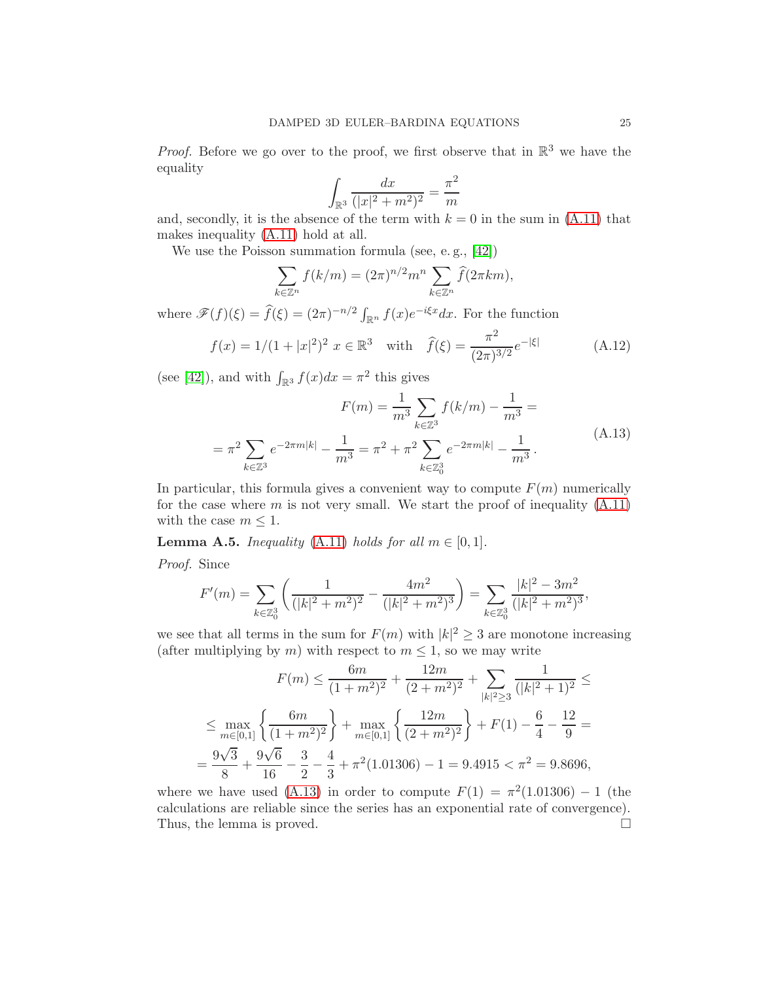*Proof.* Before we go over to the proof, we first observe that in  $\mathbb{R}^3$  we have the equality

$$
\int_{\mathbb{R}^3} \frac{dx}{(|x|^2 + m^2)^2} = \frac{\pi^2}{m}
$$

and, secondly, it is the absence of the term with  $k = 0$  in the sum in [\(A.11\)](#page-23-5) that makes inequality [\(A.11\)](#page-23-5) hold at all.

We use the Poisson summation formula (see, e. g., [\[42\]](#page-29-14))

$$
\sum_{k \in \mathbb{Z}^n} f(k/m) = (2\pi)^{n/2} m^n \sum_{k \in \mathbb{Z}^n} \widehat{f}(2\pi km),
$$

where  $\mathscr{F}(f)(\xi) = \widehat{f}(\xi) = (2\pi)^{-n/2} \int_{\mathbb{R}^n} f(x) e^{-i\xi x} dx$ . For the function

<span id="page-24-0"></span>
$$
f(x) = 1/(1+|x|^2)^2 \ x \in \mathbb{R}^3 \quad \text{with} \quad \hat{f}(\xi) = \frac{\pi^2}{(2\pi)^{3/2}} e^{-|\xi|} \tag{A.12}
$$

(see [\[42\]](#page-29-14)), and with  $\int_{\mathbb{R}^3} f(x)dx = \pi^2$  this gives

<span id="page-24-1"></span>
$$
F(m) = \frac{1}{m^3} \sum_{k \in \mathbb{Z}^3} f(k/m) - \frac{1}{m^3} =
$$
  
=  $\pi^2 \sum_{k \in \mathbb{Z}^3} e^{-2\pi m|k|} - \frac{1}{m^3} = \pi^2 + \pi^2 \sum_{k \in \mathbb{Z}^3_0} e^{-2\pi m|k|} - \frac{1}{m^3}.$  (A.13)

In particular, this formula gives a convenient way to compute  $F(m)$  numerically for the case where  $m$  is not very small. We start the proof of inequality  $(A.11)$ with the case  $m \leq 1$ .

**Lemma A.5.** Inequality [\(A.11\)](#page-23-5) holds for all  $m \in [0, 1]$ .

Proof. Since

$$
F'(m) = \sum_{k \in \mathbb{Z}_0^3} \left( \frac{1}{(|k|^2 + m^2)^2} - \frac{4m^2}{(|k|^2 + m^2)^3} \right) = \sum_{k \in \mathbb{Z}_0^3} \frac{|k|^2 - 3m^2}{(|k|^2 + m^2)^3},
$$

we see that all terms in the sum for  $F(m)$  with  $|k|^2 \geq 3$  are monotone increasing (after multiplying by m) with respect to  $m \leq 1$ , so we may write

$$
F(m) \le \frac{6m}{(1+m^2)^2} + \frac{12m}{(2+m^2)^2} + \sum_{|k|^2 \ge 3} \frac{1}{(|k|^2 + 1)^2} \le
$$
  

$$
\le \max_{m \in [0,1]} \left\{ \frac{6m}{(1+m^2)^2} \right\} + \max_{m \in [0,1]} \left\{ \frac{12m}{(2+m^2)^2} \right\} + F(1) - \frac{6}{4} - \frac{12}{9} =
$$
  

$$
= \frac{9\sqrt{3}}{8} + \frac{9\sqrt{6}}{16} - \frac{3}{2} - \frac{4}{3} + \pi^2 (1.01306) - 1 = 9.4915 < \pi^2 = 9.8696,
$$

where we have used [\(A.13\)](#page-24-1) in order to compute  $F(1) = \pi^2(1.01306) - 1$  (the calculations are reliable since the series has an exponential rate of convergence). Thus, the lemma is proved.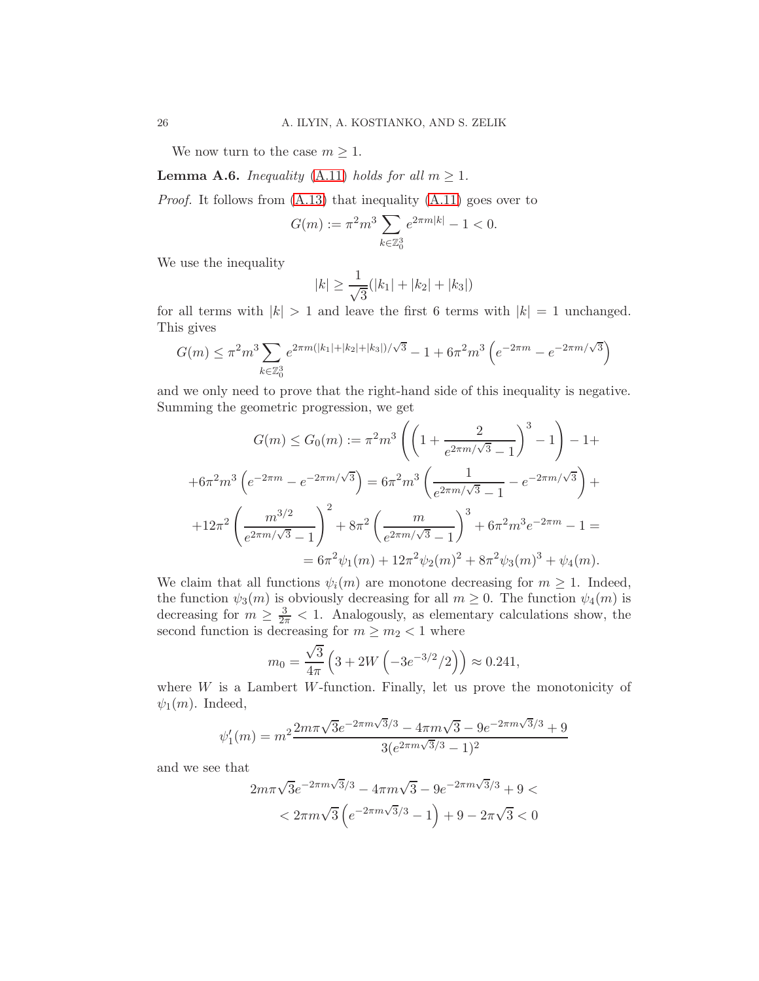We now turn to the case  $m \geq 1$ .

**Lemma A.6.** Inequality [\(A.11\)](#page-23-5) holds for all  $m \geq 1$ .

Proof. It follows from [\(A.13\)](#page-24-1) that inequality [\(A.11\)](#page-23-5) goes over to

$$
G(m) := \pi^2 m^3 \sum_{k \in \mathbb{Z}_0^3} e^{2\pi m|k|} - 1 < 0.
$$

We use the inequality

$$
|k| \ge \frac{1}{\sqrt{3}}(|k_1| + |k_2| + |k_3|)
$$

for all terms with  $|k| > 1$  and leave the first 6 terms with  $|k| = 1$  unchanged. This gives

$$
G(m) \le \pi^2 m^3 \sum_{k \in \mathbb{Z}_0^3} e^{2\pi m(|k_1| + |k_2| + |k_3|)/\sqrt{3}} - 1 + 6\pi^2 m^3 \left( e^{-2\pi m} - e^{-2\pi m/\sqrt{3}} \right)
$$

and we only need to prove that the right-hand side of this inequality is negative. Summing the geometric progression, we get

$$
G(m) \le G_0(m) := \pi^2 m^3 \left( \left( 1 + \frac{2}{e^{2\pi m/\sqrt{3}} - 1} \right)^3 - 1 \right) - 1 +
$$
  
+6 $\pi^2 m^3 \left( e^{-2\pi m} - e^{-2\pi m/\sqrt{3}} \right) = 6\pi^2 m^3 \left( \frac{1}{e^{2\pi m/\sqrt{3}} - 1} - e^{-2\pi m/\sqrt{3}} \right) +$   
+12 $\pi^2 \left( \frac{m^{3/2}}{e^{2\pi m/\sqrt{3}} - 1} \right)^2 + 8\pi^2 \left( \frac{m}{e^{2\pi m/\sqrt{3}} - 1} \right)^3 + 6\pi^2 m^3 e^{-2\pi m} - 1 =$   
= 6 $\pi^2 \psi_1(m) + 12\pi^2 \psi_2(m)^2 + 8\pi^2 \psi_3(m)^3 + \psi_4(m)$ .

We claim that all functions  $\psi_i(m)$  are monotone decreasing for  $m \geq 1$ . Indeed, the function  $\psi_3(m)$  is obviously decreasing for all  $m \geq 0$ . The function  $\psi_4(m)$  is decreasing for  $m \geq \frac{3}{2\pi} < 1$ . Analogously, as elementary calculations show, the second function is decreasing for  $m \geq m_2 < 1$  where

$$
m_0 = \frac{\sqrt{3}}{4\pi} \left( 3 + 2W \left( -3e^{-3/2}/2 \right) \right) \approx 0.241,
$$

where  $W$  is a Lambert W-function. Finally, let us prove the monotonicity of  $\psi_1(m)$ . Indeed,

$$
\psi_1'(m) = m^2 \frac{2m\pi\sqrt{3}e^{-2\pi m\sqrt{3}/3} - 4\pi m\sqrt{3} - 9e^{-2\pi m\sqrt{3}/3} + 9}{3(e^{2\pi m\sqrt{3}/3} - 1)^2}
$$

and we see that

$$
2m\pi\sqrt{3}e^{-2\pi m\sqrt{3}/3} - 4\pi m\sqrt{3} - 9e^{-2\pi m\sqrt{3}/3} + 9 <
$$
  
< 
$$
< 2\pi m\sqrt{3} \left( e^{-2\pi m\sqrt{3}/3} - 1 \right) + 9 - 2\pi\sqrt{3} < 0
$$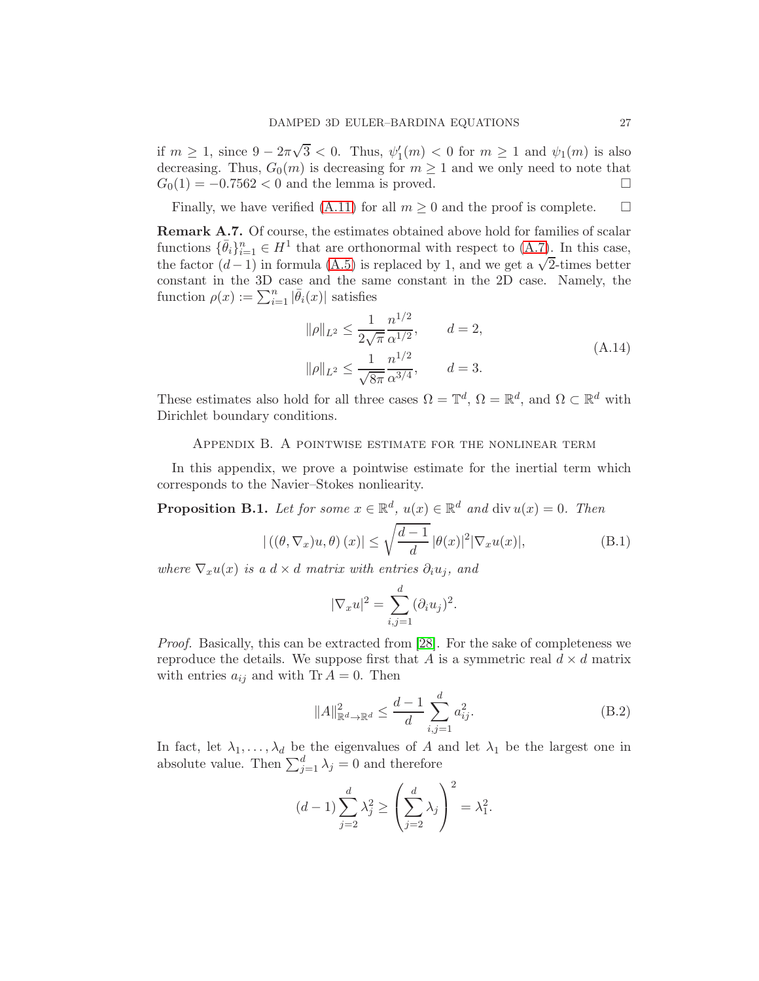if  $m \ge 1$ , since  $9 - 2\pi\sqrt{3} < 0$ . Thus,  $\psi'_1(m) < 0$  for  $m \ge 1$  and  $\psi_1(m)$  is also decreasing. Thus,  $G_0(m)$  is decreasing for  $m \ge 1$  and we only need to note that  $G_0(1) = -0.7562 < 0$  and the lemma is proved.  $G_0(1) = -0.7562 < 0$  and the lemma is proved.

Finally, we have verified [\(A.11\)](#page-23-5) for all  $m \geq 0$  and the proof is complete.  $\square$ 

Remark A.7. Of course, the estimates obtained above hold for families of scalar functions  $\{\bar{\theta}_i\}_{i=1}^n \in H^1$  that are orthonormal with respect to  $(A.7)$ . In this case, the factor  $(d-1)$  in formula [\(A.5\)](#page-22-0) is replaced by 1, and we get a  $\sqrt{2}$ -times better constant in the 3D case and the same constant in the 2D case. Namely, the function  $\rho(x) := \sum_{i=1}^n |\bar{\theta}_i(x)|$  satisfies

$$
\|\rho\|_{L^2} \le \frac{1}{2\sqrt{\pi}} \frac{n^{1/2}}{\alpha^{1/2}}, \qquad d = 2,
$$
  

$$
\|\rho\|_{L^2} \le \frac{1}{\sqrt{8\pi}} \frac{n^{1/2}}{\alpha^{3/4}}, \qquad d = 3.
$$
 (A.14)

<span id="page-26-0"></span>These estimates also hold for all three cases  $\Omega = \mathbb{T}^d$ ,  $\Omega = \mathbb{R}^d$ , and  $\Omega \subset \mathbb{R}^d$  with Dirichlet boundary conditions.

#### Appendix B. A pointwise estimate for the nonlinear term

In this appendix, we prove a pointwise estimate for the inertial term which corresponds to the Navier–Stokes nonliearity.

**Proposition B.1.** Let for some  $x \in \mathbb{R}^d$ ,  $u(x) \in \mathbb{R}^d$  and  $\text{div } u(x) = 0$ . Then

<span id="page-26-1"></span>
$$
|\left( (\theta, \nabla_x)u, \theta \right)(x)| \le \sqrt{\frac{d-1}{d}} \, |\theta(x)|^2 |\nabla_x u(x)|,\tag{B.1}
$$

where  $\nabla_x u(x)$  is a  $d \times d$  matrix with entries  $\partial_i u_i$ , and

$$
|\nabla_x u|^2 = \sum_{i,j=1}^d (\partial_i u_j)^2.
$$

Proof. Basically, this can be extracted from [\[28\]](#page-28-14). For the sake of completeness we reproduce the details. We suppose first that A is a symmetric real  $d \times d$  matrix with entries  $a_{ij}$  and with Tr  $A = 0$ . Then

<span id="page-26-2"></span>
$$
||A||_{\mathbb{R}^d \to \mathbb{R}^d}^2 \le \frac{d-1}{d} \sum_{i,j=1}^d a_{ij}^2.
$$
 (B.2)

In fact, let  $\lambda_1, \ldots, \lambda_d$  be the eigenvalues of A and let  $\lambda_1$  be the largest one in absolute value. Then  $\sum_{j=1}^{d} \lambda_j = 0$  and therefore

$$
(d-1)\sum_{j=2}^{d} \lambda_j^2 \ge \left(\sum_{j=2}^{d} \lambda_j\right)^2 = \lambda_1^2.
$$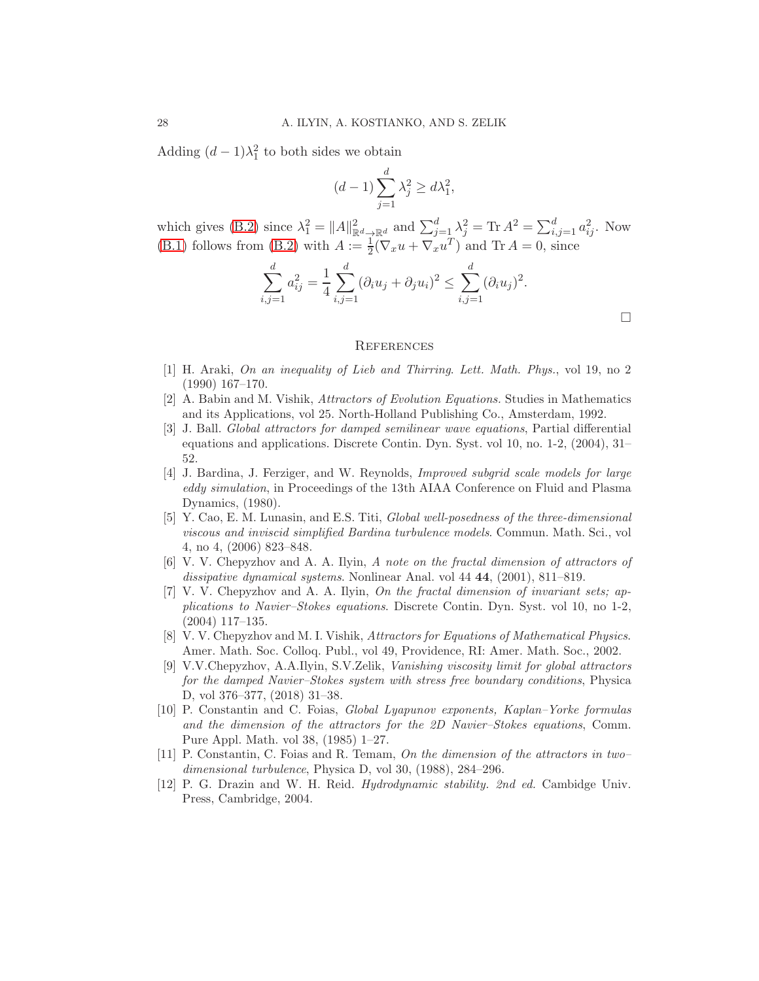Adding  $(d-1)\lambda_1^2$  to both sides we obtain

$$
(d-1)\sum_{j=1}^{d} \lambda_j^2 \ge d\lambda_1^2,
$$

which gives [\(B.2\)](#page-26-2) since  $\lambda_1^2 = ||A||_{\mathbb{R}^d \to \mathbb{R}^d}^2$  and  $\sum_{j=\frac{T}{L}}^d \lambda_j^2 = \text{Tr } A^2 = \sum_{i,j=1}^d a_{ij}^2$ . Now [\(B.1\)](#page-26-1) follows from [\(B.2\)](#page-26-2) with  $A := \frac{1}{2}(\nabla_x u + \nabla_x u^T)$  and  $\text{Tr } A = 0$ , since

$$
\sum_{i,j=1}^d a_{ij}^2 = \frac{1}{4} \sum_{i,j=1}^d (\partial_i u_j + \partial_j u_i)^2 \le \sum_{i,j=1}^d (\partial_i u_j)^2.
$$

 $\Box$ 

#### <span id="page-27-0"></span>**REFERENCES**

- <span id="page-27-12"></span>[1] H. Araki, On an inequality of Lieb and Thirring. Lett. Math. Phys., vol 19, no 2 (1990) 167–170.
- <span id="page-27-8"></span><span id="page-27-1"></span>[2] A. Babin and M. Vishik, Attractors of Evolution Equations. Studies in Mathematics and its Applications, vol 25. North-Holland Publishing Co., Amsterdam, 1992.
- [3] J. Ball. Global attractors for damped semilinear wave equations, Partial differential equations and applications. Discrete Contin. Dyn. Syst. vol 10, no. 1-2, (2004), 31– 52.
- <span id="page-27-3"></span>[4] J. Bardina, J. Ferziger, and W. Reynolds, Improved subgrid scale models for large eddy simulation, in Proceedings of the 13th AIAA Conference on Fluid and Plasma Dynamics, (1980).
- <span id="page-27-4"></span>[5] Y. Cao, E. M. Lunasin, and E.S. Titi, Global well-posedness of the three-dimensional viscous and inviscid simplified Bardina turbulence models. Commun. Math. Sci., vol 4, no 4, (2006) 823–848.
- <span id="page-27-9"></span>[6] V. V. Chepyzhov and A. A. Ilyin, A note on the fractal dimension of attractors of dissipative dynamical systems. Nonlinear Anal. vol 44 **44**, (2001), 811–819.
- <span id="page-27-10"></span>[7] V. V. Chepyzhov and A. A. Ilyin, On the fractal dimension of invariant sets; applications to Navier–Stokes equations. Discrete Contin. Dyn. Syst. vol 10, no 1-2, (2004) 117–135.
- <span id="page-27-2"></span>[8] V. V. Chepyzhov and M. I. Vishik, Attractors for Equations of Mathematical Physics. Amer. Math. Soc. Colloq. Publ., vol 49, Providence, RI: Amer. Math. Soc., 2002.
- <span id="page-27-6"></span>[9] V.V.Chepyzhov, A.A.Ilyin, S.V.Zelik, Vanishing viscosity limit for global attractors for the damped Navier–Stokes system with stress free boundary conditions, Physica D, vol 376–377, (2018) 31–38.
- <span id="page-27-7"></span>[10] P. Constantin and C. Foias, Global Lyapunov exponents, Kaplan–Yorke formulas and the dimension of the attractors for the 2D Navier–Stokes equations, Comm. Pure Appl. Math. vol 38, (1985) 1–27.
- <span id="page-27-5"></span>[11] P. Constantin, C. Foias and R. Temam, On the dimension of the attractors in two– dimensional turbulence, Physica D, vol 30, (1988), 284–296.
- <span id="page-27-11"></span>[12] P. G. Drazin and W. H. Reid. Hydrodynamic stability. 2nd ed. Cambidge Univ. Press, Cambridge, 2004.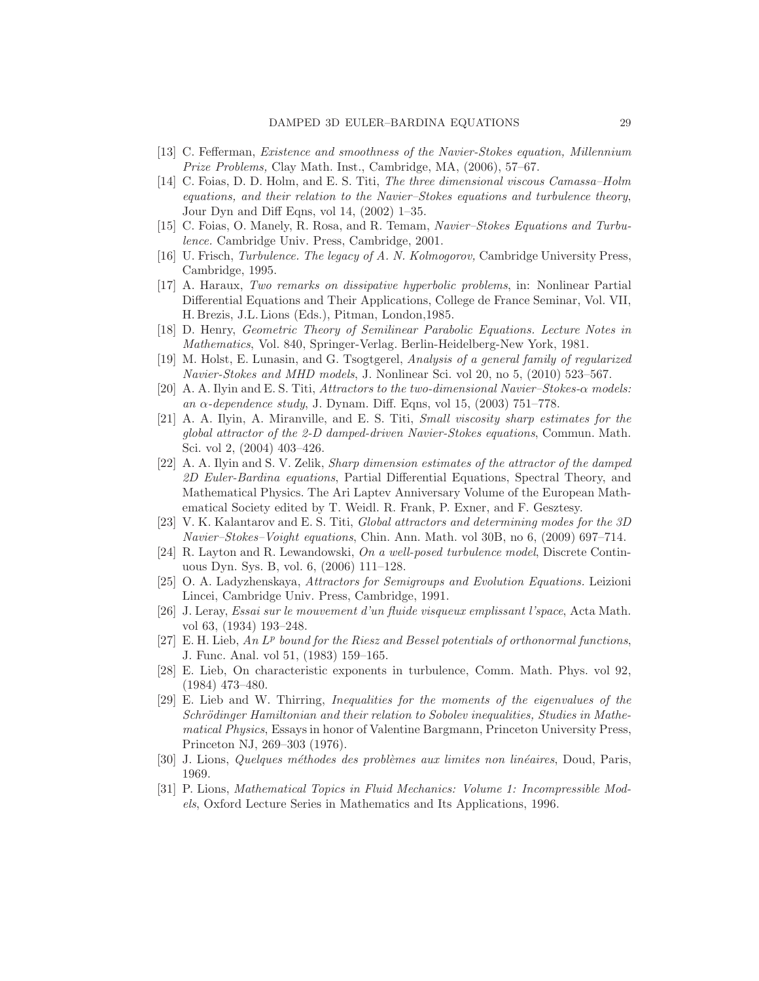- <span id="page-28-5"></span><span id="page-28-0"></span>[13] C. Fefferman, Existence and smoothness of the Navier-Stokes equation, Millennium Prize Problems, Clay Math. Inst., Cambridge, MA, (2006), 57–67.
- [14] C. Foias, D. D. Holm, and E. S. Titi, The three dimensional viscous Camassa–Holm equations, and their relation to the Navier–Stokes equations and turbulence theory, Jour Dyn and Diff Eqns, vol 14, (2002) 1–35.
- <span id="page-28-2"></span><span id="page-28-1"></span>[15] C. Foias, O. Manely, R. Rosa, and R. Temam, Navier–Stokes Equations and Turbulence. Cambridge Univ. Press, Cambridge, 2001.
- <span id="page-28-18"></span>[16] U. Frisch, Turbulence. The legacy of A. N. Kolmogorov, Cambridge University Press, Cambridge, 1995.
- [17] A. Haraux, Two remarks on dissipative hyperbolic problems, in: Nonlinear Partial Differential Equations and Their Applications, College de France Seminar, Vol. VII, H. Brezis, J.L. Lions (Eds.), Pitman, London,1985.
- <span id="page-28-16"></span><span id="page-28-6"></span>[18] D. Henry, Geometric Theory of Semilinear Parabolic Equations. Lecture Notes in Mathematics, Vol. 840, Springer-Verlag. Berlin-Heidelberg-New York, 1981.
- [19] M. Holst, E. Lunasin, and G. Tsogtgerel, Analysis of a general family of regularized Navier-Stokes and MHD models, J. Nonlinear Sci. vol 20, no 5, (2010) 523–567.
- <span id="page-28-10"></span>[20] A. A. Ilyin and E. S. Titi, Attractors to the two-dimensional Navier–Stokes-α models: an  $\alpha$ -dependence study, J. Dynam. Diff. Eqns, vol 15, (2003) 751–778.
- <span id="page-28-11"></span>[21] A. A. Ilyin, A. Miranville, and E. S. Titi, Small viscosity sharp estimates for the global attractor of the 2-D damped-driven Navier-Stokes equations, Commun. Math. Sci. vol 2, (2004) 403–426.
- <span id="page-28-9"></span>[22] A. A. Ilyin and S. V. Zelik, Sharp dimension estimates of the attractor of the damped 2D Euler-Bardina equations, Partial Differential Equations, Spectral Theory, and Mathematical Physics. The Ari Laptev Anniversary Volume of the European Mathematical Society edited by T. Weidl. R. Frank, P. Exner, and F. Gesztesy.
- <span id="page-28-8"></span>[23] V. K. Kalantarov and E. S. Titi, Global attractors and determining modes for the 3D Navier–Stokes–Voight equations, Chin. Ann. Math. vol 30B, no 6, (2009) 697–714.
- <span id="page-28-7"></span>[24] R. Layton and R. Lewandowski, On a well-posed turbulence model, Discrete Continuous Dyn. Sys. B, vol. 6, (2006) 111–128.
- <span id="page-28-3"></span>[25] O. A. Ladyzhenskaya, Attractors for Semigroups and Evolution Equations. Leizioni Lincei, Cambridge Univ. Press, Cambridge, 1991.
- <span id="page-28-4"></span>[26] J. Leray, Essai sur le mouvement d'un fluide visqueux emplissant l'space, Acta Math. vol 63, (1934) 193–248.
- <span id="page-28-13"></span>[27] E. H. Lieb, An  $L^p$  bound for the Riesz and Bessel potentials of orthonormal functions, J. Func. Anal. vol 51, (1983) 159–165.
- <span id="page-28-14"></span>[28] E. Lieb, On characteristic exponents in turbulence, Comm. Math. Phys. vol 92, (1984) 473–480.
- <span id="page-28-15"></span>[29] E. Lieb and W. Thirring, Inequalities for the moments of the eigenvalues of the Schrödinger Hamiltonian and their relation to Sobolev inequalities, Studies in Mathematical Physics, Essays in honor of Valentine Bargmann, Princeton University Press, Princeton NJ, 269–303 (1976).
- <span id="page-28-17"></span><span id="page-28-12"></span>[30] J. Lions, Quelques méthodes des problèmes aux limites non linéaires, Doud, Paris, 1969.
- [31] P. Lions, Mathematical Topics in Fluid Mechanics: Volume 1: Incompressible Models, Oxford Lecture Series in Mathematics and Its Applications, 1996.